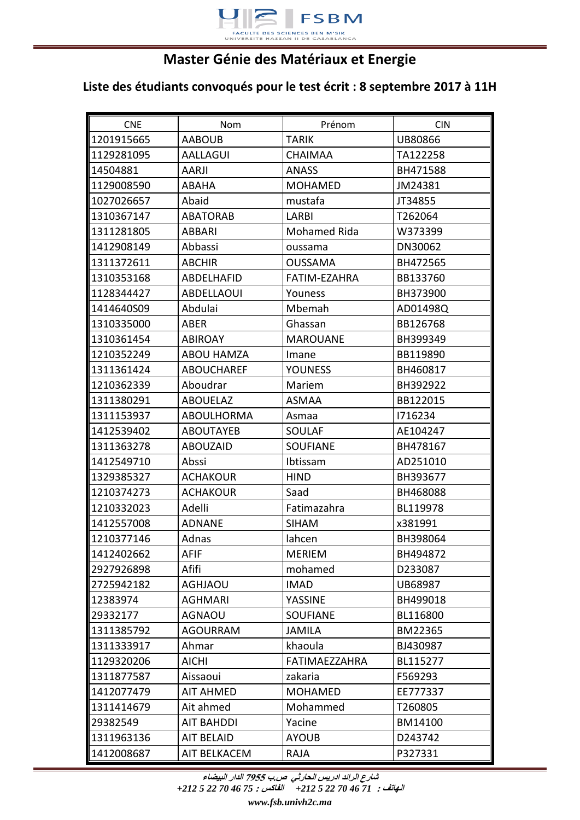

## **Master Génie des Matériaux et Energie**

## **Liste des étudiants convoqués pour le test écrit : 8 septembre 2017 à 11H**

| <b>CNE</b> | Nom               | Prénom               | <b>CIN</b> |
|------------|-------------------|----------------------|------------|
| 1201915665 | <b>AABOUB</b>     | <b>TARIK</b>         | UB80866    |
| 1129281095 | <b>AALLAGUI</b>   | <b>CHAIMAA</b>       | TA122258   |
| 14504881   | <b>AARJI</b>      | <b>ANASS</b>         | BH471588   |
| 1129008590 | <b>ABAHA</b>      | <b>MOHAMED</b>       | JM24381    |
| 1027026657 | Abaid             | mustafa              | JT34855    |
| 1310367147 | <b>ABATORAB</b>   | <b>LARBI</b>         | T262064    |
| 1311281805 | ABBARI            | <b>Mohamed Rida</b>  | W373399    |
| 1412908149 | Abbassi           | oussama              | DN30062    |
| 1311372611 | <b>ABCHIR</b>     | <b>OUSSAMA</b>       | BH472565   |
| 1310353168 | ABDELHAFID        | FATIM-EZAHRA         | BB133760   |
| 1128344427 | <b>ABDELLAOUI</b> | Youness              | BH373900   |
| 1414640S09 | Abdulai           | Mbemah               | AD01498Q   |
| 1310335000 | <b>ABER</b>       | Ghassan              | BB126768   |
| 1310361454 | <b>ABIROAY</b>    | <b>MAROUANE</b>      | BH399349   |
| 1210352249 | <b>ABOU HAMZA</b> | Imane                | BB119890   |
| 1311361424 | <b>ABOUCHAREF</b> | <b>YOUNESS</b>       | BH460817   |
| 1210362339 | Aboudrar          | Mariem               | BH392922   |
| 1311380291 | <b>ABOUELAZ</b>   | <b>ASMAA</b>         | BB122015   |
| 1311153937 | <b>ABOULHORMA</b> | Asmaa                | 1716234    |
| 1412539402 | <b>ABOUTAYEB</b>  | SOULAF               | AE104247   |
| 1311363278 | <b>ABOUZAID</b>   | <b>SOUFIANE</b>      | BH478167   |
| 1412549710 | Abssi             | Ibtissam             | AD251010   |
| 1329385327 | <b>ACHAKOUR</b>   | <b>HIND</b>          | BH393677   |
| 1210374273 | <b>ACHAKOUR</b>   | Saad                 | BH468088   |
| 1210332023 | Adelli            | Fatimazahra          | BL119978   |
| 1412557008 | <b>ADNANE</b>     | <b>SIHAM</b>         | x381991    |
| 1210377146 | Adnas             | lahcen               | BH398064   |
| 1412402662 | <b>AFIF</b>       | <b>MERIEM</b>        | BH494872   |
| 2927926898 | Afifi             | mohamed              | D233087    |
| 2725942182 | <b>AGHJAOU</b>    | <b>IMAD</b>          | UB68987    |
| 12383974   | <b>AGHMARI</b>    | YASSINE              | BH499018   |
| 29332177   | <b>AGNAOU</b>     | <b>SOUFIANE</b>      | BL116800   |
| 1311385792 | <b>AGOURRAM</b>   | <b>JAMILA</b>        | BM22365    |
| 1311333917 | Ahmar             | khaoula              | BJ430987   |
| 1129320206 | <b>AICHI</b>      | <b>FATIMAEZZAHRA</b> | BL115277   |
| 1311877587 | Aissaoui          | zakaria              | F569293    |
| 1412077479 | <b>AIT AHMED</b>  | <b>MOHAMED</b>       | EE777337   |
| 1311414679 | Ait ahmed         | Mohammed             | T260805    |
| 29382549   | <b>AIT BAHDDI</b> | Yacine               | BM14100    |
| 1311963136 | <b>AIT BELAID</b> | <b>AYOUB</b>         | D243742    |
| 1412008687 | AIT BELKACEM      | <b>RAJA</b>          | P327331    |

**شارع الرائد ادريس الحارثي ص.ب 5577 الدار البيضاء**

**الهاتف :** *71 46 70 22 5 +212* **الفاكس :** *75 46 70 22 5 +212*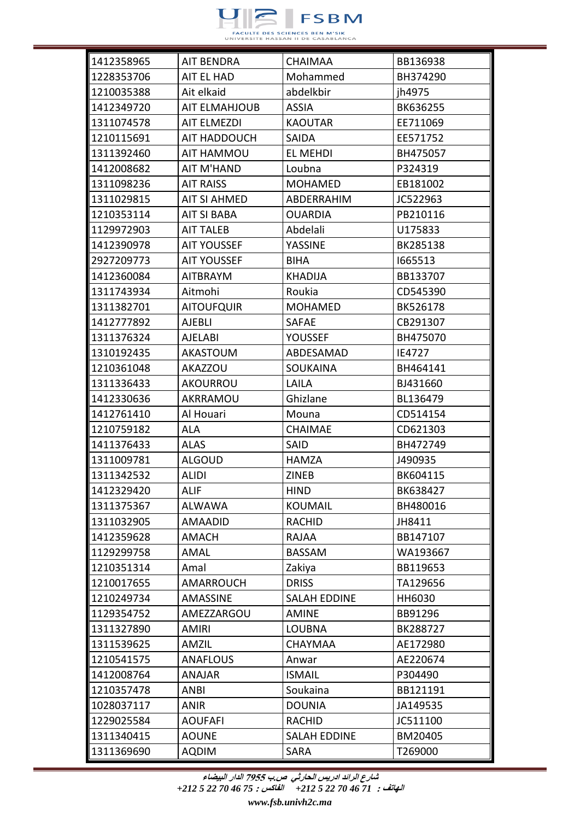

| 1412358965 | <b>AIT BENDRA</b>    | <b>CHAIMAA</b>      | BB136938 |
|------------|----------------------|---------------------|----------|
| 1228353706 | AIT EL HAD           | Mohammed            | BH374290 |
| 1210035388 | Ait elkaid           | abdelkbir           | jh4975   |
| 1412349720 | <b>AIT ELMAHJOUB</b> | <b>ASSIA</b>        | BK636255 |
| 1311074578 | <b>AIT ELMEZDI</b>   | <b>KAOUTAR</b>      | EE711069 |
| 1210115691 | AIT HADDOUCH         | SAIDA               | EE571752 |
| 1311392460 | AIT HAMMOU           | <b>EL MEHDI</b>     | BH475057 |
| 1412008682 | <b>AIT M'HAND</b>    | Loubna              | P324319  |
| 1311098236 | <b>AIT RAISS</b>     | <b>MOHAMED</b>      | EB181002 |
| 1311029815 | AIT SI AHMED         | ABDERRAHIM          | JC522963 |
| 1210353114 | <b>AIT SI BABA</b>   | <b>OUARDIA</b>      | PB210116 |
| 1129972903 | <b>AIT TALEB</b>     | Abdelali            | U175833  |
| 1412390978 | <b>AIT YOUSSEF</b>   | <b>YASSINE</b>      | BK285138 |
| 2927209773 | <b>AIT YOUSSEF</b>   | <b>BIHA</b>         | 1665513  |
| 1412360084 | <b>AITBRAYM</b>      | <b>KHADIJA</b>      | BB133707 |
| 1311743934 | Aitmohi              | Roukia              | CD545390 |
| 1311382701 | <b>AITOUFQUIR</b>    | <b>MOHAMED</b>      | BK526178 |
| 1412777892 | <b>AJEBLI</b>        | <b>SAFAE</b>        | CB291307 |
| 1311376324 | AJELABI              | <b>YOUSSEF</b>      | BH475070 |
| 1310192435 | <b>AKASTOUM</b>      | ABDESAMAD           | IE4727   |
| 1210361048 | <b>AKAZZOU</b>       | <b>SOUKAINA</b>     | BH464141 |
| 1311336433 | <b>AKOURROU</b>      | LAILA               | BJ431660 |
| 1412330636 | AKRRAMOU             | Ghizlane            | BL136479 |
| 1412761410 | Al Houari            | Mouna               | CD514154 |
| 1210759182 | <b>ALA</b>           | <b>CHAIMAE</b>      | CD621303 |
| 1411376433 | ALAS                 | SAID                | BH472749 |
| 1311009781 | <b>ALGOUD</b>        | <b>HAMZA</b>        | J490935  |
| 1311342532 | <b>ALIDI</b>         | <b>ZINEB</b>        | BK604115 |
| 1412329420 | <b>ALIF</b>          | <b>HIND</b>         | BK638427 |
| 1311375367 | ALWAWA               | <b>KOUMAIL</b>      | BH480016 |
| 1311032905 | <b>AMAADID</b>       | <b>RACHID</b>       | JH8411   |
| 1412359628 | AMACH                | RAJAA               | BB147107 |
| 1129299758 | AMAL                 | <b>BASSAM</b>       | WA193667 |
| 1210351314 | Amal                 | Zakiya              | BB119653 |
| 1210017655 | <b>AMARROUCH</b>     | <b>DRISS</b>        | TA129656 |
| 1210249734 | AMASSINE             | <b>SALAH EDDINE</b> | HH6030   |
| 1129354752 | AMEZZARGOU           | <b>AMINE</b>        | BB91296  |
| 1311327890 | <b>AMIRI</b>         | <b>LOUBNA</b>       | BK288727 |
| 1311539625 | AMZIL                | <b>CHAYMAA</b>      | AE172980 |
| 1210541575 | <b>ANAFLOUS</b>      | Anwar               | AE220674 |
| 1412008764 | <b>ANAJAR</b>        | <b>ISMAIL</b>       | P304490  |
| 1210357478 | <b>ANBI</b>          | Soukaina            | BB121191 |
| 1028037117 | <b>ANIR</b>          | <b>DOUNIA</b>       | JA149535 |
| 1229025584 | <b>AOUFAFI</b>       | <b>RACHID</b>       | JC511100 |
| 1311340415 | <b>AOUNE</b>         | <b>SALAH EDDINE</b> | BM20405  |
| 1311369690 | <b>AQDIM</b>         | <b>SARA</b>         | T269000  |

**الهاتف :** *71 46 70 22 5 +212* **الفاكس :** *75 46 70 22 5 +212*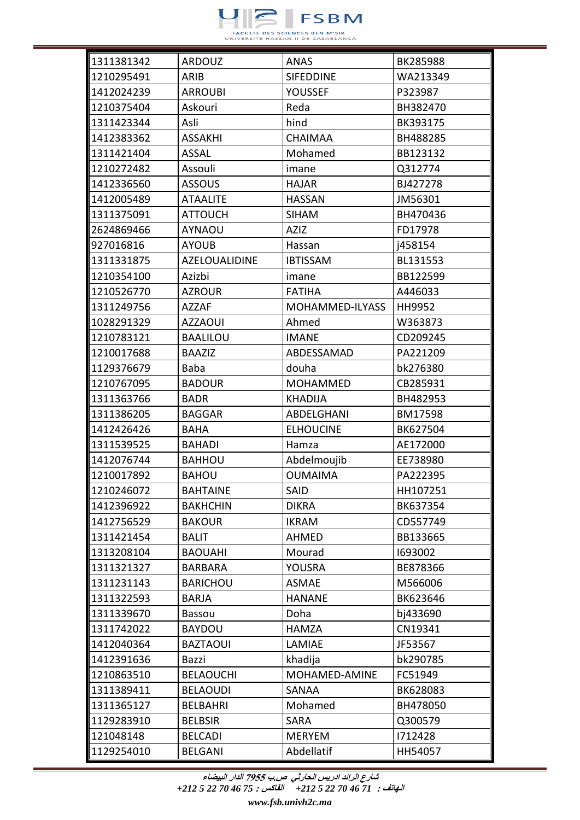

| 1311381342 | <b>ARDOUZ</b>    | ANAS             | BK285988 |
|------------|------------------|------------------|----------|
| 1210295491 | ARIB             | <b>SIFEDDINE</b> | WA213349 |
| 1412024239 | <b>ARROUBI</b>   | <b>YOUSSEF</b>   | P323987  |
| 1210375404 | Askouri          | Reda             | BH382470 |
| 1311423344 | Asli             | hind             | BK393175 |
| 1412383362 | <b>ASSAKHI</b>   | <b>CHAIMAA</b>   | BH488285 |
| 1311421404 | <b>ASSAL</b>     | Mohamed          | BB123132 |
| 1210272482 | Assouli          | imane            | Q312774  |
| 1412336560 | <b>ASSOUS</b>    | <b>HAJAR</b>     | BJ427278 |
| 1412005489 | <b>ATAALITE</b>  | <b>HASSAN</b>    | JM56301  |
| 1311375091 | <b>ATTOUCH</b>   | <b>SIHAM</b>     | BH470436 |
| 2624869466 | <b>AYNAOU</b>    | <b>AZIZ</b>      | FD17978  |
| 927016816  | <b>AYOUB</b>     | Hassan           | j458154  |
| 1311331875 | AZELOUALIDINE    | <b>IBTISSAM</b>  | BL131553 |
| 1210354100 | Azizbi           | imane            | BB122599 |
| 1210526770 | <b>AZROUR</b>    | <b>FATIHA</b>    | A446033  |
| 1311249756 | <b>AZZAF</b>     | MOHAMMED-ILYASS  | HH9952   |
| 1028291329 | <b>AZZAOUI</b>   | Ahmed            | W363873  |
| 1210783121 | <b>BAALILOU</b>  | IMANE            | CD209245 |
| 1210017688 | <b>BAAZIZ</b>    | ABDESSAMAD       | PA221209 |
| 1129376679 | <b>Baba</b>      | douha            | bk276380 |
| 1210767095 | <b>BADOUR</b>    | <b>MOHAMMED</b>  | CB285931 |
| 1311363766 | <b>BADR</b>      | <b>KHADIJA</b>   | BH482953 |
| 1311386205 | <b>BAGGAR</b>    | ABDELGHANI       | BM17598  |
| 1412426426 | <b>BAHA</b>      | <b>ELHOUCINE</b> | BK627504 |
| 1311539525 | <b>BAHADI</b>    | Hamza            | AE172000 |
| 1412076744 | <b>BAHHOU</b>    | Abdelmoujib      | EE738980 |
| 1210017892 | <b>BAHOU</b>     | <b>OUMAIMA</b>   | PA222395 |
| 1210246072 | <b>BAHTAINE</b>  | SAID             | HH107251 |
| 1412396922 | <b>BAKHCHIN</b>  | <b>DIKRA</b>     | BK637354 |
| 1412756529 | <b>BAKOUR</b>    | <b>IKRAM</b>     | CD557749 |
| 1311421454 | <b>BALIT</b>     | <b>AHMED</b>     | BB133665 |
| 1313208104 | <b>BAOUAHI</b>   | Mourad           | 1693002  |
| 1311321327 | <b>BARBARA</b>   | YOUSRA           | BE878366 |
| 1311231143 | <b>BARICHOU</b>  | <b>ASMAE</b>     | M566006  |
| 1311322593 | <b>BARJA</b>     | <b>HANANE</b>    | BK623646 |
| 1311339670 | <b>Bassou</b>    | Doha             | bj433690 |
| 1311742022 | <b>BAYDOU</b>    | <b>HAMZA</b>     | CN19341  |
| 1412040364 | <b>BAZTAOUI</b>  | LAMIAE           | JF53567  |
| 1412391636 | Bazzi            | khadija          | bk290785 |
| 1210863510 | <b>BELAOUCHI</b> | MOHAMED-AMINE    | FC51949  |
| 1311389411 | <b>BELAOUDI</b>  | SANAA            | BK628083 |
| 1311365127 | <b>BELBAHRI</b>  | Mohamed          | BH478050 |
| 1129283910 | <b>BELBSIR</b>   | <b>SARA</b>      | Q300579  |
| 121048148  | <b>BELCADI</b>   | <b>MERYEM</b>    | 1712428  |
| 1129254010 | <b>BELGANI</b>   | Abdellatif       | HH54057  |

**الهاتف :** *71 46 70 22 5 +212* **الفاكس :** *75 46 70 22 5 +212*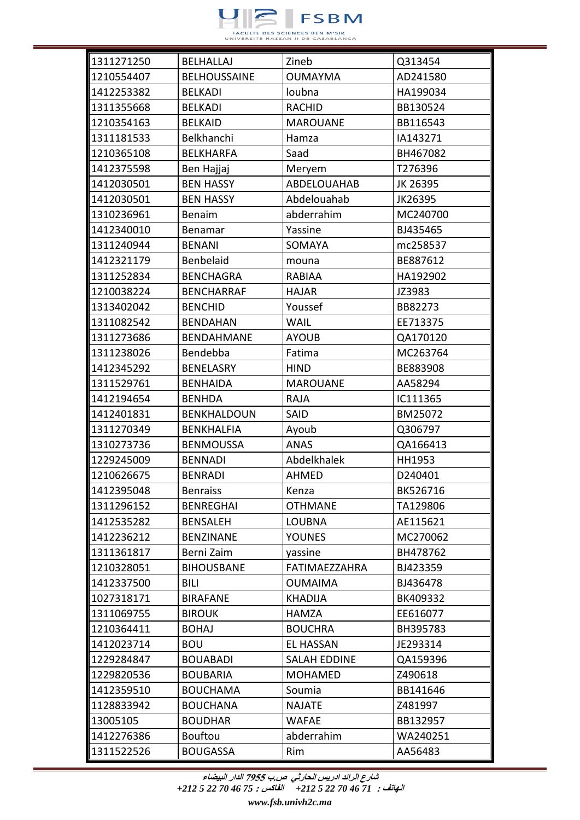

| 1311271250 | <b>BELHALLAJ</b>    | Zineb                | Q313454  |
|------------|---------------------|----------------------|----------|
| 1210554407 | <b>BELHOUSSAINE</b> | <b>OUMAYMA</b>       | AD241580 |
| 1412253382 | <b>BELKADI</b>      | loubna               | HA199034 |
| 1311355668 | <b>BELKADI</b>      | <b>RACHID</b>        | BB130524 |
| 1210354163 | <b>BELKAID</b>      | <b>MAROUANE</b>      | BB116543 |
| 1311181533 | Belkhanchi          | Hamza                | IA143271 |
| 1210365108 | <b>BELKHARFA</b>    | Saad                 | BH467082 |
| 1412375598 | Ben Hajjaj          | Meryem               | T276396  |
| 1412030501 | <b>BEN HASSY</b>    | ABDELOUAHAB          | JK 26395 |
| 1412030501 | <b>BEN HASSY</b>    | Abdelouahab          | JK26395  |
| 1310236961 | Benaim              | abderrahim           | MC240700 |
| 1412340010 | Benamar             | Yassine              | BJ435465 |
| 1311240944 | <b>BENANI</b>       | <b>SOMAYA</b>        | mc258537 |
| 1412321179 | Benbelaid           | mouna                | BE887612 |
| 1311252834 | <b>BENCHAGRA</b>    | RABIAA               | HA192902 |
| 1210038224 | <b>BENCHARRAF</b>   | <b>HAJAR</b>         | JZ3983   |
| 1313402042 | <b>BENCHID</b>      | Youssef              | BB82273  |
| 1311082542 | <b>BENDAHAN</b>     | <b>WAIL</b>          | EE713375 |
| 1311273686 | <b>BENDAHMANE</b>   | <b>AYOUB</b>         | QA170120 |
| 1311238026 | Bendebba            | Fatima               | MC263764 |
| 1412345292 | <b>BENELASRY</b>    | <b>HIND</b>          | BE883908 |
| 1311529761 | <b>BENHAIDA</b>     | <b>MAROUANE</b>      | AA58294  |
| 1412194654 | <b>BENHDA</b>       | <b>RAJA</b>          | IC111365 |
| 1412401831 | BENKHALDOUN         | <b>SAID</b>          | BM25072  |
| 1311270349 | <b>BENKHALFIA</b>   | Ayoub                | Q306797  |
| 1310273736 | <b>BENMOUSSA</b>    | <b>ANAS</b>          | QA166413 |
| 1229245009 | <b>BENNADI</b>      | Abdelkhalek          | HH1953   |
| 1210626675 | <b>BENRADI</b>      | <b>AHMED</b>         | D240401  |
| 1412395048 | <b>Benraiss</b>     | Kenza                | BK526716 |
| 1311296152 | <b>BENREGHAI</b>    | <b>OTHMANE</b>       | TA129806 |
| 1412535282 | <b>BENSALEH</b>     | <b>LOUBNA</b>        | AE115621 |
| 1412236212 | <b>BENZINANE</b>    | <b>YOUNES</b>        | MC270062 |
| 1311361817 | Berni Zaim          | yassine              | BH478762 |
| 1210328051 | <b>BIHOUSBANE</b>   | <b>FATIMAEZZAHRA</b> | BJ423359 |
| 1412337500 | BILI                | OUMAIMA              | BJ436478 |
| 1027318171 | <b>BIRAFANE</b>     | <b>KHADIJA</b>       | BK409332 |
| 1311069755 | <b>BIROUK</b>       | HAMZA                | EE616077 |
| 1210364411 | <b>BOHAJ</b>        | <b>BOUCHRA</b>       | BH395783 |
| 1412023714 | <b>BOU</b>          | <b>EL HASSAN</b>     | JE293314 |
| 1229284847 | <b>BOUABADI</b>     | <b>SALAH EDDINE</b>  | QA159396 |
| 1229820536 | <b>BOUBARIA</b>     | <b>MOHAMED</b>       | Z490618  |
| 1412359510 | <b>BOUCHAMA</b>     | Soumia               | BB141646 |
| 1128833942 | <b>BOUCHANA</b>     | <b>NAJATE</b>        | Z481997  |
| 13005105   | <b>BOUDHAR</b>      | <b>WAFAE</b>         | BB132957 |
| 1412276386 | <b>Bouftou</b>      | abderrahim           | WA240251 |
| 1311522526 | <b>BOUGASSA</b>     | Rim                  | AA56483  |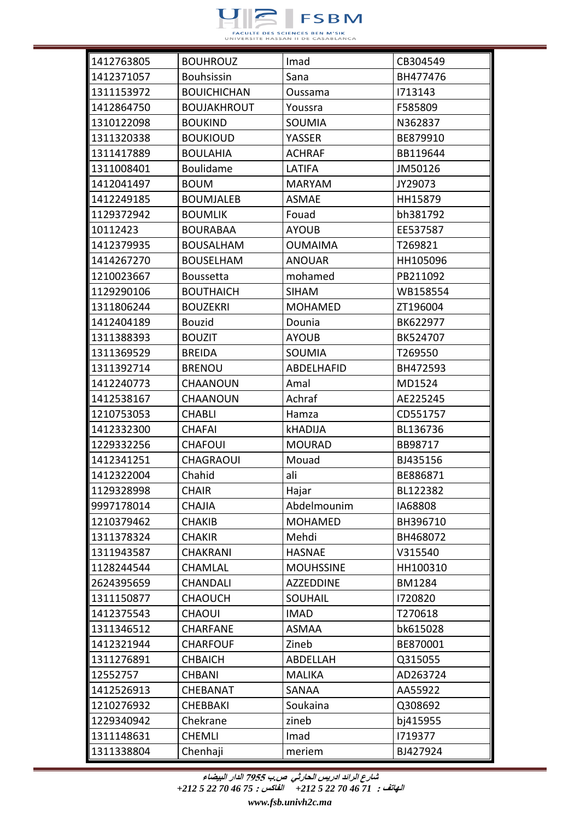

| 1412763805 | <b>BOUHROUZ</b>    | Imad             | CB304549      |
|------------|--------------------|------------------|---------------|
| 1412371057 | <b>Bouhsissin</b>  | Sana             | BH477476      |
| 1311153972 | <b>BOUICHICHAN</b> | Oussama          | 1713143       |
| 1412864750 | <b>BOUJAKHROUT</b> | Youssra          | F585809       |
| 1310122098 | <b>BOUKIND</b>     | <b>SOUMIA</b>    | N362837       |
| 1311320338 | <b>BOUKIOUD</b>    | YASSER           | BE879910      |
| 1311417889 | <b>BOULAHIA</b>    | <b>ACHRAF</b>    | BB119644      |
| 1311008401 | Boulidame          | LATIFA           | JM50126       |
| 1412041497 | <b>BOUM</b>        | <b>MARYAM</b>    | JY29073       |
| 1412249185 | <b>BOUMJALEB</b>   | <b>ASMAE</b>     | HH15879       |
| 1129372942 | <b>BOUMLIK</b>     | Fouad            | bh381792      |
| 10112423   | <b>BOURABAA</b>    | <b>AYOUB</b>     | EE537587      |
| 1412379935 | <b>BOUSALHAM</b>   | <b>OUMAIMA</b>   | T269821       |
| 1414267270 | <b>BOUSELHAM</b>   | <b>ANOUAR</b>    | HH105096      |
| 1210023667 | <b>Boussetta</b>   | mohamed          | PB211092      |
| 1129290106 | <b>BOUTHAICH</b>   | <b>SIHAM</b>     | WB158554      |
| 1311806244 | <b>BOUZEKRI</b>    | <b>MOHAMED</b>   | ZT196004      |
| 1412404189 | <b>Bouzid</b>      | Dounia           | BK622977      |
| 1311388393 | <b>BOUZIT</b>      | <b>AYOUB</b>     | BK524707      |
| 1311369529 | <b>BREIDA</b>      | SOUMIA           | T269550       |
| 1311392714 | <b>BRENOU</b>      | ABDELHAFID       | BH472593      |
| 1412240773 | <b>CHAANOUN</b>    | Amal             | MD1524        |
| 1412538167 | <b>CHAANOUN</b>    | Achraf           | AE225245      |
| 1210753053 | CHABLI             | Hamza            | CD551757      |
| 1412332300 | <b>CHAFAI</b>      | kHADIJA          | BL136736      |
| 1229332256 | <b>CHAFOUI</b>     | <b>MOURAD</b>    | BB98717       |
| 1412341251 | <b>CHAGRAOUI</b>   | Mouad            | BJ435156      |
| 1412322004 | Chahid             | ali              | BE886871      |
| 1129328998 | <b>CHAIR</b>       | Hajar            | BL122382      |
| 9997178014 | <b>CHAJIA</b>      | Abdelmounim      | IA68808       |
| 1210379462 | <b>CHAKIB</b>      | <b>MOHAMED</b>   | BH396710      |
| 1311378324 | <b>CHAKIR</b>      | Mehdi            | BH468072      |
| 1311943587 | <b>CHAKRANI</b>    | <b>HASNAE</b>    | V315540       |
| 1128244544 | CHAMLAL            | <b>MOUHSSINE</b> | HH100310      |
| 2624395659 | <b>CHANDALI</b>    | AZZEDDINE        | <b>BM1284</b> |
| 1311150877 | <b>CHAOUCH</b>     | <b>SOUHAIL</b>   | 1720820       |
| 1412375543 | <b>CHAOUI</b>      | <b>IMAD</b>      | T270618       |
| 1311346512 | <b>CHARFANE</b>    | <b>ASMAA</b>     | bk615028      |
| 1412321944 | <b>CHARFOUF</b>    | Zineb            | BE870001      |
| 1311276891 | <b>CHBAICH</b>     | ABDELLAH         | Q315055       |
| 12552757   | <b>CHBANI</b>      | <b>MALIKA</b>    | AD263724      |
| 1412526913 | CHEBANAT           | SANAA            | AA55922       |
| 1210276932 | <b>CHEBBAKI</b>    | Soukaina         | Q308692       |
| 1229340942 | Chekrane           | zineb            | bj415955      |
| 1311148631 | <b>CHEMLI</b>      | Imad             | 1719377       |
| 1311338804 | Chenhaji           | meriem           | BJ427924      |

**الهاتف :** *71 46 70 22 5 +212* **الفاكس :** *75 46 70 22 5 +212*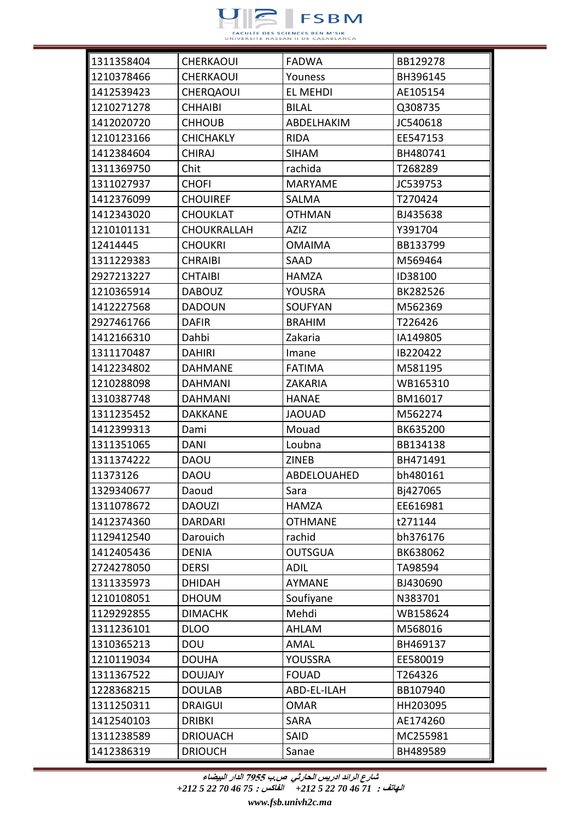

| 1311358404 | <b>CHERKAOUI</b>   | <b>FADWA</b>   | BB129278 |
|------------|--------------------|----------------|----------|
| 1210378466 | <b>CHERKAOUI</b>   | Youness        | BH396145 |
| 1412539423 | <b>CHERQAOUI</b>   | EL MEHDI       | AE105154 |
| 1210271278 | <b>CHHAIBI</b>     | <b>BILAL</b>   | Q308735  |
| 1412020720 | <b>CHHOUB</b>      | ABDELHAKIM     | JC540618 |
| 1210123166 | <b>CHICHAKLY</b>   | <b>RIDA</b>    | EE547153 |
| 1412384604 | <b>CHIRAJ</b>      | <b>SIHAM</b>   | BH480741 |
| 1311369750 | Chit               | rachida        | T268289  |
| 1311027937 | <b>CHOFI</b>       | <b>MARYAME</b> | JC539753 |
| 1412376099 | <b>CHOUIREF</b>    | SALMA          | T270424  |
| 1412343020 | <b>CHOUKLAT</b>    | <b>OTHMAN</b>  | BJ435638 |
| 1210101131 | <b>CHOUKRALLAH</b> | AZIZ           | Y391704  |
| 12414445   | <b>CHOUKRI</b>     | <b>OMAIMA</b>  | BB133799 |
| 1311229383 | <b>CHRAIBI</b>     | SAAD           | M569464  |
| 2927213227 | <b>CHTAIBI</b>     | <b>HAMZA</b>   | ID38100  |
| 1210365914 | <b>DABOUZ</b>      | YOUSRA         | BK282526 |
| 1412227568 | <b>DADOUN</b>      | <b>SOUFYAN</b> | M562369  |
| 2927461766 | <b>DAFIR</b>       | <b>BRAHIM</b>  | T226426  |
| 1412166310 | Dahbi              | Zakaria        | IA149805 |
| 1311170487 | <b>DAHIRI</b>      | Imane          | IB220422 |
| 1412234802 | <b>DAHMANE</b>     | <b>FATIMA</b>  | M581195  |
| 1210288098 | <b>DAHMANI</b>     | <b>ZAKARIA</b> | WB165310 |
| 1310387748 | <b>DAHMANI</b>     | <b>HANAE</b>   | BM16017  |
| 1311235452 | <b>DAKKANE</b>     | <b>JAOUAD</b>  | M562274  |
| 1412399313 | Dami               | Mouad          | BK635200 |
| 1311351065 | <b>DANI</b>        | Loubna         | BB134138 |
| 1311374222 | <b>DAOU</b>        | <b>ZINEB</b>   | BH471491 |
| 11373126   | <b>DAOU</b>        | ABDELOUAHED    | bh480161 |
| 1329340677 | Daoud              | Sara           | Bj427065 |
| 1311078672 | <b>DAOUZI</b>      | <b>HAMZA</b>   | EE616981 |
| 1412374360 | <b>DARDARI</b>     | <b>OTHMANE</b> | t271144  |
| 1129412540 | Darouich           | rachid         | bh376176 |
| 1412405436 | <b>DENIA</b>       | <b>OUTSGUA</b> | BK638062 |
| 2724278050 | <b>DERSI</b>       | <b>ADIL</b>    | TA98594  |
| 1311335973 | <b>DHIDAH</b>      | AYMANE         | BJ430690 |
| 1210108051 | <b>DHOUM</b>       | Soufiyane      | N383701  |
| 1129292855 | <b>DIMACHK</b>     | Mehdi          | WB158624 |
| 1311236101 | <b>DLOO</b>        | <b>AHLAM</b>   | M568016  |
| 1310365213 | <b>DOU</b>         | AMAL           | BH469137 |
| 1210119034 | <b>DOUHA</b>       | YOUSSRA        | EE580019 |
| 1311367522 | <b>DOUJAJY</b>     | <b>FOUAD</b>   | T264326  |
| 1228368215 | <b>DOULAB</b>      | ABD-EL-ILAH    | BB107940 |
| 1311250311 | <b>DRAIGUI</b>     | <b>OMAR</b>    | HH203095 |
| 1412540103 | <b>DRIBKI</b>      | <b>SARA</b>    | AE174260 |
| 1311238589 | <b>DRIOUACH</b>    | SAID           | MC255981 |
| 1412386319 | <b>DRIOUCH</b>     | Sanae          | BH489589 |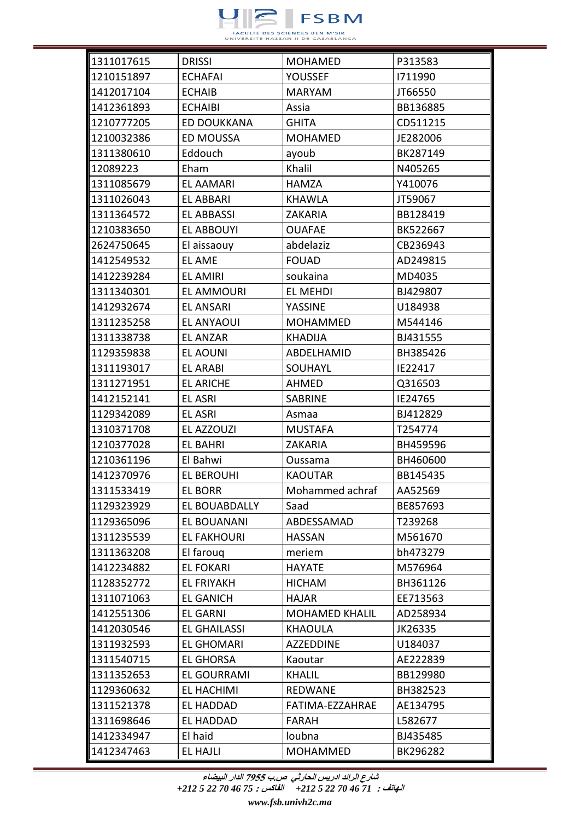

| 1311017615 | <b>DRISSI</b>       | <b>MOHAMED</b>        | P313583  |
|------------|---------------------|-----------------------|----------|
| 1210151897 | <b>ECHAFAI</b>      | <b>YOUSSEF</b>        | 1711990  |
| 1412017104 | <b>ECHAIB</b>       | <b>MARYAM</b>         | JT66550  |
| 1412361893 | <b>ECHAIBI</b>      | Assia                 | BB136885 |
| 1210777205 | <b>ED DOUKKANA</b>  | <b>GHITA</b>          | CD511215 |
| 1210032386 | ED MOUSSA           | <b>MOHAMED</b>        | JE282006 |
| 1311380610 | Eddouch             | ayoub                 | BK287149 |
| 12089223   | Eham                | Khalil                | N405265  |
| 1311085679 | <b>EL AAMARI</b>    | <b>HAMZA</b>          | Y410076  |
| 1311026043 | <b>EL ABBARI</b>    | KHAWLA                | JT59067  |
| 1311364572 | <b>EL ABBASSI</b>   | <b>ZAKARIA</b>        | BB128419 |
| 1210383650 | <b>EL ABBOUYI</b>   | <b>OUAFAE</b>         | BK522667 |
| 2624750645 | El aissaouy         | abdelaziz             | CB236943 |
| 1412549532 | EL AME              | <b>FOUAD</b>          | AD249815 |
| 1412239284 | <b>EL AMIRI</b>     | soukaina              | MD4035   |
| 1311340301 | <b>EL AMMOURI</b>   | <b>EL MEHDI</b>       | BJ429807 |
| 1412932674 | <b>EL ANSARI</b>    | YASSINE               | U184938  |
| 1311235258 | EL ANYAOUI          | <b>MOHAMMED</b>       | M544146  |
| 1311338738 | <b>EL ANZAR</b>     | <b>KHADIJA</b>        | BJ431555 |
| 1129359838 | <b>EL AOUNI</b>     | ABDELHAMID            | BH385426 |
| 1311193017 | <b>EL ARABI</b>     | SOUHAYL               | IE22417  |
| 1311271951 | <b>EL ARICHE</b>    | AHMED                 | Q316503  |
| 1412152141 | <b>EL ASRI</b>      | <b>SABRINE</b>        | IE24765  |
| 1129342089 | <b>EL ASRI</b>      | Asmaa                 | BJ412829 |
| 1310371708 | EL AZZOUZI          | <b>MUSTAFA</b>        | T254774  |
| 1210377028 | <b>EL BAHRI</b>     | <b>ZAKARIA</b>        | BH459596 |
| 1210361196 | El Bahwi            | Oussama               | BH460600 |
| 1412370976 | <b>EL BEROUHI</b>   | <b>KAOUTAR</b>        | BB145435 |
| 1311533419 | <b>EL BORR</b>      | Mohammed achraf       | AA52569  |
| 1129323929 | EL BOUABDALLY       | Saad                  | BE857693 |
| 1129365096 | EL BOUANANI         | ABDESSAMAD            | T239268  |
| 1311235539 | <b>EL FAKHOURI</b>  | <b>HASSAN</b>         | M561670  |
| 1311363208 | El faroug           | meriem                | bh473279 |
| 1412234882 | <b>EL FOKARI</b>    | <b>HAYATE</b>         | M576964  |
| 1128352772 | <b>EL FRIYAKH</b>   | <b>HICHAM</b>         | BH361126 |
| 1311071063 | <b>EL GANICH</b>    | <b>HAJAR</b>          | EE713563 |
| 1412551306 | <b>EL GARNI</b>     | <b>MOHAMED KHALIL</b> | AD258934 |
| 1412030546 | <b>EL GHAILASSI</b> | <b>KHAOULA</b>        | JK26335  |
| 1311932593 | <b>EL GHOMARI</b>   | <b>AZZEDDINE</b>      | U184037  |
| 1311540715 | <b>EL GHORSA</b>    | Kaoutar               | AE222839 |
| 1311352653 | <b>EL GOURRAMI</b>  | <b>KHALIL</b>         | BB129980 |
| 1129360632 | <b>EL HACHIMI</b>   | <b>REDWANE</b>        | BH382523 |
| 1311521378 | <b>EL HADDAD</b>    | FATIMA-EZZAHRAE       | AE134795 |
| 1311698646 | <b>EL HADDAD</b>    | <b>FARAH</b>          | L582677  |
| 1412334947 | El haid             | loubna                | BJ435485 |
| 1412347463 | EL HAJLI            | MOHAMMED              | BK296282 |

**الهاتف :** *71 46 70 22 5 +212* **الفاكس :** *75 46 70 22 5 +212*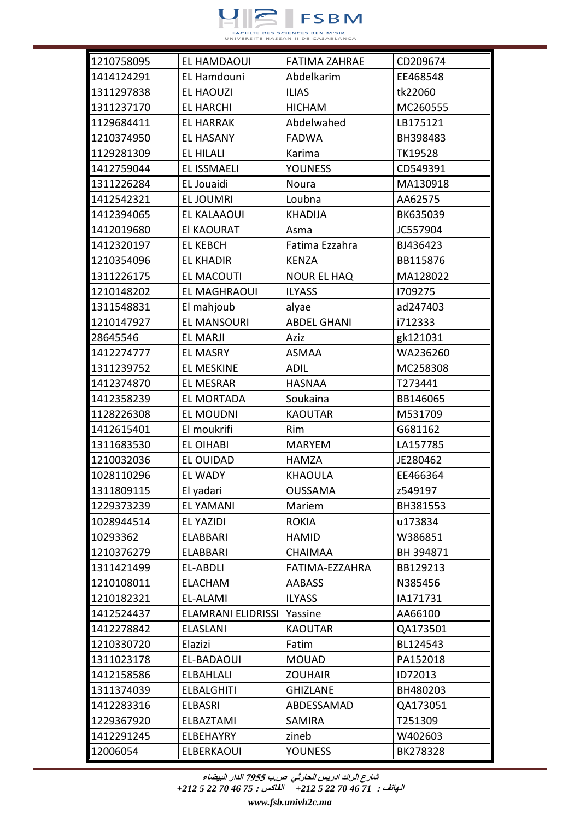

| 1210758095 | EL HAMDAOUI               | <b>FATIMA ZAHRAE</b> | CD209674  |
|------------|---------------------------|----------------------|-----------|
| 1414124291 | <b>EL Hamdouni</b>        | Abdelkarim           | EE468548  |
| 1311297838 | <b>EL HAOUZI</b>          | <b>ILIAS</b>         | tk22060   |
| 1311237170 | <b>EL HARCHI</b>          | <b>HICHAM</b>        | MC260555  |
| 1129684411 | <b>EL HARRAK</b>          | Abdelwahed           | LB175121  |
| 1210374950 | <b>EL HASANY</b>          | <b>FADWA</b>         | BH398483  |
| 1129281309 | <b>EL HILALI</b>          | Karima               | TK19528   |
| 1412759044 | <b>EL ISSMAELI</b>        | <b>YOUNESS</b>       | CD549391  |
| 1311226284 | EL Jouaidi                | Noura                | MA130918  |
| 1412542321 | <b>EL JOUMRI</b>          | Loubna               | AA62575   |
| 1412394065 | <b>EL KALAAOUI</b>        | <b>KHADIJA</b>       | BK635039  |
| 1412019680 | El KAOURAT                | Asma                 | JC557904  |
| 1412320197 | <b>EL KEBCH</b>           | Fatima Ezzahra       | BJ436423  |
| 1210354096 | <b>EL KHADIR</b>          | <b>KENZA</b>         | BB115876  |
| 1311226175 | <b>EL MACOUTI</b>         | <b>NOUR EL HAQ</b>   | MA128022  |
| 1210148202 | <b>EL MAGHRAOUI</b>       | <b>ILYASS</b>        | 1709275   |
| 1311548831 | El mahjoub                | alyae                | ad247403  |
| 1210147927 | <b>EL MANSOURI</b>        | <b>ABDEL GHANI</b>   | i712333   |
| 28645546   | <b>EL MARJI</b>           | Aziz                 | gk121031  |
| 1412274777 | <b>EL MASRY</b>           | <b>ASMAA</b>         | WA236260  |
| 1311239752 | <b>EL MESKINE</b>         | <b>ADIL</b>          | MC258308  |
| 1412374870 | <b>EL MESRAR</b>          | <b>HASNAA</b>        | T273441   |
| 1412358239 | EL MORTADA                | Soukaina             | BB146065  |
| 1128226308 | <b>EL MOUDNI</b>          | <b>KAOUTAR</b>       | M531709   |
| 1412615401 | El moukrifi               | Rim                  | G681162   |
| 1311683530 | EL OIHABI                 | <b>MARYEM</b>        | LA157785  |
| 1210032036 | <b>EL OUIDAD</b>          | <b>HAMZA</b>         | JE280462  |
| 1028110296 | <b>EL WADY</b>            | <b>KHAOULA</b>       | EE466364  |
| 1311809115 | El yadari                 | <b>OUSSAMA</b>       | z549197   |
| 1229373239 | <b>EL YAMANI</b>          | Mariem               | BH381553  |
| 1028944514 | EL YAZIDI                 | <b>ROKIA</b>         | u173834   |
| 10293362   | <b>ELABBARI</b>           | <b>HAMID</b>         | W386851   |
| 1210376279 | <b>ELABBARI</b>           | <b>CHAIMAA</b>       | BH 394871 |
| 1311421499 | EL-ABDLI                  | FATIMA-EZZAHRA       | BB129213  |
| 1210108011 | <b>ELACHAM</b>            | <b>AABASS</b>        | N385456   |
| 1210182321 | <b>EL-ALAMI</b>           | <b>ILYASS</b>        | IA171731  |
| 1412524437 | <b>ELAMRANI ELIDRISSI</b> | Yassine              | AA66100   |
| 1412278842 | <b>ELASLANI</b>           | <b>KAOUTAR</b>       | QA173501  |
| 1210330720 | Elazizi                   | Fatim                | BL124543  |
| 1311023178 | EL-BADAOUI                | <b>MOUAD</b>         | PA152018  |
| 1412158586 | <b>ELBAHLALI</b>          | <b>ZOUHAIR</b>       | ID72013   |
| 1311374039 | <b>ELBALGHITI</b>         | <b>GHIZLANE</b>      | BH480203  |
| 1412283316 | <b>ELBASRI</b>            | ABDESSAMAD           | QA173051  |
| 1229367920 | ELBAZTAMI                 | <b>SAMIRA</b>        | T251309   |
| 1412291245 | ELBEHAYRY                 | zineb                | W402603   |
| 12006054   | ELBERKAOUI                | <b>YOUNESS</b>       | BK278328  |

**الهاتف :** *71 46 70 22 5 +212* **الفاكس :** *75 46 70 22 5 +212*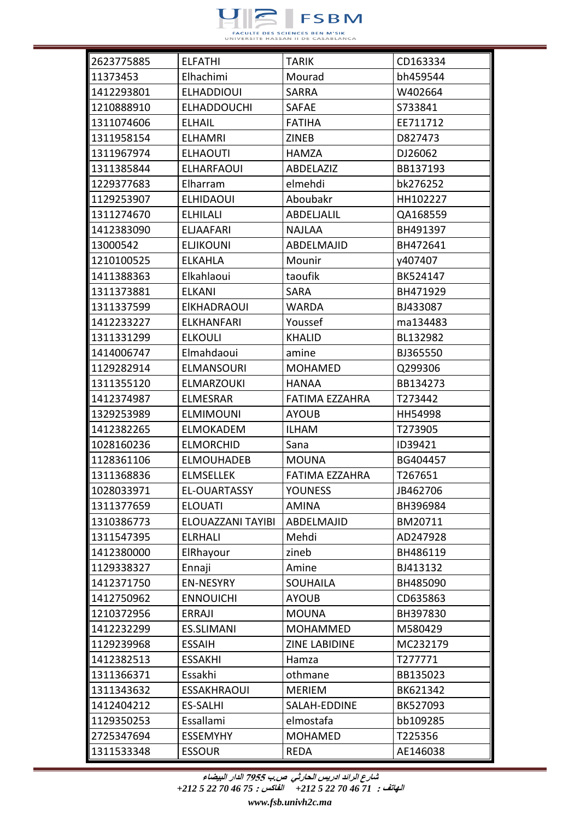

| 2623775885 | <b>ELFATHI</b>     | TARIK                 | CD163334 |
|------------|--------------------|-----------------------|----------|
| 11373453   | Elhachimi          | Mourad                | bh459544 |
| 1412293801 | <b>ELHADDIOUI</b>  | <b>SARRA</b>          | W402664  |
| 1210888910 | <b>ELHADDOUCHI</b> | SAFAE                 | S733841  |
| 1311074606 | <b>ELHAIL</b>      | <b>FATIHA</b>         | EE711712 |
| 1311958154 | <b>ELHAMRI</b>     | ZINEB                 | D827473  |
| 1311967974 | <b>ELHAOUTI</b>    | <b>HAMZA</b>          | DJ26062  |
| 1311385844 | <b>ELHARFAOUI</b>  | <b>ABDELAZIZ</b>      | BB137193 |
| 1229377683 | Elharram           | elmehdi               | bk276252 |
| 1129253907 | <b>ELHIDAOUI</b>   | Aboubakr              | HH102227 |
| 1311274670 | <b>ELHILALI</b>    | ABDELJALIL            | QA168559 |
| 1412383090 | <b>ELJAAFARI</b>   | <b>NAJLAA</b>         | BH491397 |
| 13000542   | <b>ELJIKOUNI</b>   | ABDELMAJID            | BH472641 |
| 1210100525 | <b>ELKAHLA</b>     | Mounir                | y407407  |
| 1411388363 | Elkahlaoui         | taoufik               | BK524147 |
| 1311373881 | <b>ELKANI</b>      | <b>SARA</b>           | BH471929 |
| 1311337599 | <b>EIKHADRAOUI</b> | <b>WARDA</b>          | BJ433087 |
| 1412233227 | <b>ELKHANFARI</b>  | Youssef               | ma134483 |
| 1311331299 | <b>ELKOULI</b>     | <b>KHALID</b>         | BL132982 |
| 1414006747 | Elmahdaoui         | amine                 | BJ365550 |
| 1129282914 | <b>ELMANSOURI</b>  | <b>MOHAMED</b>        | Q299306  |
| 1311355120 | <b>ELMARZOUKI</b>  | <b>HANAA</b>          | BB134273 |
| 1412374987 | <b>ELMESRAR</b>    | FATIMA EZZAHRA        | T273442  |
| 1329253989 | <b>ELMIMOUNI</b>   | <b>AYOUB</b>          | HH54998  |
| 1412382265 | <b>ELMOKADEM</b>   | <b>ILHAM</b>          | T273905  |
| 1028160236 | <b>ELMORCHID</b>   | Sana                  | ID39421  |
| 1128361106 | <b>ELMOUHADEB</b>  | <b>MOUNA</b>          | BG404457 |
| 1311368836 | <b>ELMSELLEK</b>   | <b>FATIMA EZZAHRA</b> | T267651  |
| 1028033971 | EL-OUARTASSY       | YOUNESS               | JB462706 |
| 1311377659 | <b>ELOUATI</b>     | <b>AMINA</b>          | BH396984 |
| 1310386773 | ELOUAZZANI TAYIBI  | ABDELMAJID            | BM20711  |
| 1311547395 | <b>ELRHALI</b>     | Mehdi                 | AD247928 |
| 1412380000 | ElRhayour          | zineb                 | BH486119 |
| 1129338327 | Ennaji             | Amine                 | BJ413132 |
| 1412371750 | <b>EN-NESYRY</b>   | <b>SOUHAILA</b>       | BH485090 |
| 1412750962 | <b>ENNOUICHI</b>   | <b>AYOUB</b>          | CD635863 |
| 1210372956 | <b>ERRAJI</b>      | <b>MOUNA</b>          | BH397830 |
| 1412232299 | <b>ES.SLIMANI</b>  | <b>MOHAMMED</b>       | M580429  |
| 1129239968 | <b>ESSAIH</b>      | ZINE LABIDINE         | MC232179 |
| 1412382513 | <b>ESSAKHI</b>     | Hamza                 | T277771  |
| 1311366371 | Essakhi            | othmane               | BB135023 |
| 1311343632 | <b>ESSAKHRAOUI</b> | <b>MERIEM</b>         | BK621342 |
| 1412404212 | <b>ES-SALHI</b>    | SALAH-EDDINE          | BK527093 |
| 1129350253 | Essallami          | elmostafa             | bb109285 |
| 2725347694 | <b>ESSEMYHY</b>    | <b>MOHAMED</b>        | T225356  |
| 1311533348 | <b>ESSOUR</b>      | REDA                  | AE146038 |

**الهاتف :** *71 46 70 22 5 +212* **الفاكس :** *75 46 70 22 5 +212*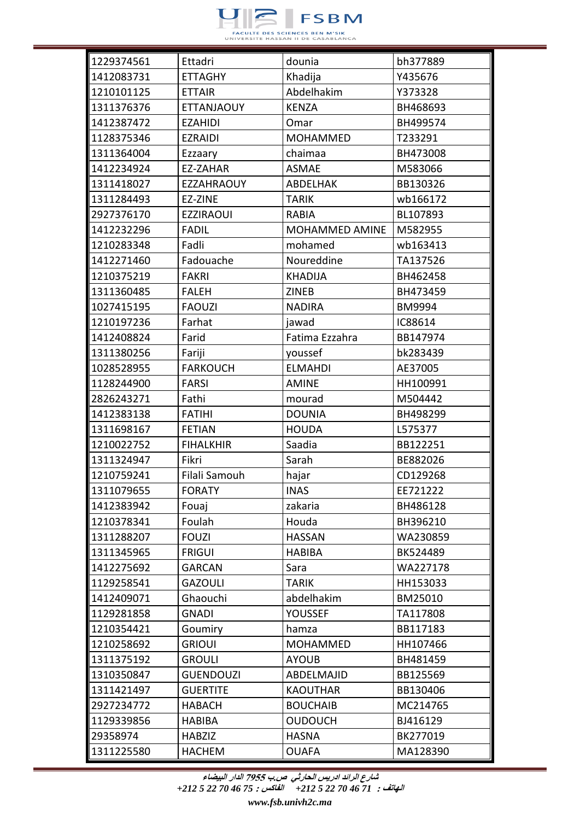

| 1229374561 | Ettadri           | dounia          | bh377889 |
|------------|-------------------|-----------------|----------|
| 1412083731 | <b>ETTAGHY</b>    | Khadija         | Y435676  |
| 1210101125 | <b>ETTAIR</b>     | Abdelhakim      | Y373328  |
| 1311376376 | <b>ETTANJAOUY</b> | <b>KENZA</b>    | BH468693 |
| 1412387472 | <b>EZAHIDI</b>    | Omar            | BH499574 |
| 1128375346 | <b>EZRAIDI</b>    | <b>MOHAMMED</b> | T233291  |
| 1311364004 | Ezzaary           | chaimaa         | BH473008 |
| 1412234924 | EZ-ZAHAR          | <b>ASMAE</b>    | M583066  |
| 1311418027 | <b>EZZAHRAOUY</b> | ABDELHAK        | BB130326 |
| 1311284493 | EZ-ZINE           | <b>TARIK</b>    | wb166172 |
| 2927376170 | <b>EZZIRAOUI</b>  | <b>RABIA</b>    | BL107893 |
| 1412232296 | <b>FADIL</b>      | MOHAMMED AMINE  | M582955  |
| 1210283348 | Fadli             | mohamed         | wb163413 |
| 1412271460 | Fadouache         | Noureddine      | TA137526 |
| 1210375219 | <b>FAKRI</b>      | <b>KHADIJA</b>  | BH462458 |
| 1311360485 | <b>FALEH</b>      | <b>ZINEB</b>    | BH473459 |
| 1027415195 | <b>FAOUZI</b>     | <b>NADIRA</b>   | BM9994   |
| 1210197236 | Farhat            | jawad           | IC88614  |
| 1412408824 | Farid             | Fatima Ezzahra  | BB147974 |
| 1311380256 | Fariji            | youssef         | bk283439 |
| 1028528955 | <b>FARKOUCH</b>   | <b>ELMAHDI</b>  | AE37005  |
| 1128244900 | <b>FARSI</b>      | <b>AMINE</b>    | HH100991 |
| 2826243271 | Fathi             | mourad          | M504442  |
| 1412383138 | <b>FATIHI</b>     | <b>DOUNIA</b>   | BH498299 |
| 1311698167 | <b>FETIAN</b>     | <b>HOUDA</b>    | L575377  |
| 1210022752 | <b>FIHALKHIR</b>  | Saadia          | BB122251 |
| 1311324947 | Fikri             | Sarah           | BE882026 |
| 1210759241 | Filali Samouh     | hajar           | CD129268 |
| 1311079655 | <b>FORATY</b>     | <b>INAS</b>     | EE721222 |
| 1412383942 | Fouaj             | zakaria         | BH486128 |
| 1210378341 | Foulah            | Houda           | BH396210 |
| 1311288207 | <b>FOUZI</b>      | <b>HASSAN</b>   | WA230859 |
| 1311345965 | <b>FRIGUI</b>     | <b>HABIBA</b>   | BK524489 |
| 1412275692 | <b>GARCAN</b>     | Sara            | WA227178 |
| 1129258541 | <b>GAZOULI</b>    | <b>TARIK</b>    | HH153033 |
| 1412409071 | Ghaouchi          | abdelhakim      | BM25010  |
| 1129281858 | <b>GNADI</b>      | <b>YOUSSEF</b>  | TA117808 |
| 1210354421 | Goumiry           | hamza           | BB117183 |
| 1210258692 | <b>GRIOUI</b>     | <b>MOHAMMED</b> | HH107466 |
| 1311375192 | <b>GROULI</b>     | <b>AYOUB</b>    | BH481459 |
| 1310350847 | <b>GUENDOUZI</b>  | ABDELMAJID      | BB125569 |
| 1311421497 | <b>GUERTITE</b>   | <b>KAOUTHAR</b> | BB130406 |
| 2927234772 | <b>HABACH</b>     | <b>BOUCHAIB</b> | MC214765 |
| 1129339856 | <b>HABIBA</b>     | <b>OUDOUCH</b>  | BJ416129 |
| 29358974   | <b>HABZIZ</b>     | <b>HASNA</b>    | BK277019 |
| 1311225580 | <b>HACHEM</b>     | <b>OUAFA</b>    | MA128390 |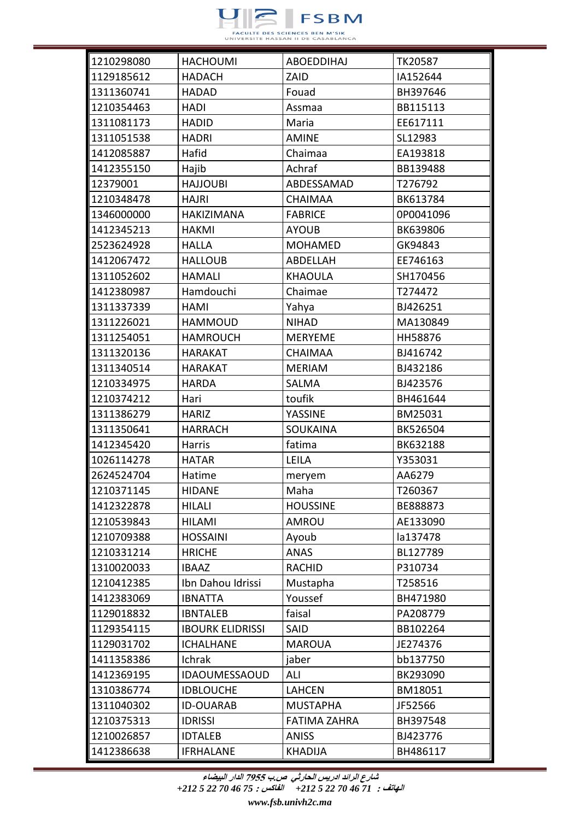

| 1210298080 | <b>HACHOUMI</b>         | <b>ABOEDDIHAJ</b>   | TK20587   |
|------------|-------------------------|---------------------|-----------|
| 1129185612 | <b>HADACH</b>           | ZAID                | IA152644  |
| 1311360741 | <b>HADAD</b>            | Fouad               | BH397646  |
| 1210354463 | <b>HADI</b>             | Assmaa              | BB115113  |
| 1311081173 | <b>HADID</b>            | Maria               | EE617111  |
| 1311051538 | <b>HADRI</b>            | <b>AMINE</b>        | SL12983   |
| 1412085887 | Hafid                   | Chaimaa             | EA193818  |
| 1412355150 | Hajib                   | Achraf              | BB139488  |
| 12379001   | <b>HAJJOUBI</b>         | ABDESSAMAD          | T276792   |
| 1210348478 | <b>HAJRI</b>            | <b>CHAIMAA</b>      | BK613784  |
| 1346000000 | <b>HAKIZIMANA</b>       | <b>FABRICE</b>      | 0P0041096 |
| 1412345213 | <b>HAKMI</b>            | <b>AYOUB</b>        | BK639806  |
| 2523624928 | <b>HALLA</b>            | <b>MOHAMED</b>      | GK94843   |
| 1412067472 | <b>HALLOUB</b>          | ABDELLAH            | EE746163  |
| 1311052602 | <b>HAMALI</b>           | <b>KHAOULA</b>      | SH170456  |
| 1412380987 | Hamdouchi               | Chaimae             | T274472   |
| 1311337339 | HAMI                    | Yahya               | BJ426251  |
| 1311226021 | <b>HAMMOUD</b>          | <b>NIHAD</b>        | MA130849  |
| 1311254051 | <b>HAMROUCH</b>         | <b>MERYEME</b>      | HH58876   |
| 1311320136 | <b>HARAKAT</b>          | <b>CHAIMAA</b>      | BJ416742  |
| 1311340514 | <b>HARAKAT</b>          | <b>MERIAM</b>       | BJ432186  |
| 1210334975 | <b>HARDA</b>            | <b>SALMA</b>        | BJ423576  |
| 1210374212 | Hari                    | toufik              | BH461644  |
| 1311386279 | <b>HARIZ</b>            | YASSINE             | BM25031   |
| 1311350641 | <b>HARRACH</b>          | <b>SOUKAINA</b>     | BK526504  |
| 1412345420 | Harris                  | fatima              | BK632188  |
| 1026114278 | <b>HATAR</b>            | <b>LEILA</b>        | Y353031   |
| 2624524704 | Hatime                  | meryem              | AA6279    |
| 1210371145 | <b>HIDANE</b>           | Maha                | T260367   |
| 1412322878 | <b>HILALI</b>           | <b>HOUSSINE</b>     | BE888873  |
| 1210539843 | <b>HILAMI</b>           | AMROU               | AE133090  |
| 1210709388 | <b>HOSSAINI</b>         | Ayoub               | la137478  |
| 1210331214 | <b>HRICHE</b>           | <b>ANAS</b>         | BL127789  |
| 1310020033 | <b>IBAAZ</b>            | <b>RACHID</b>       | P310734   |
| 1210412385 | Ibn Dahou Idrissi       | Mustapha            | T258516   |
| 1412383069 | <b>IBNATTA</b>          | Youssef             | BH471980  |
| 1129018832 | <b>IBNTALEB</b>         | faisal              | PA208779  |
| 1129354115 | <b>IBOURK ELIDRISSI</b> | SAID                | BB102264  |
| 1129031702 | <b>ICHALHANE</b>        | <b>MAROUA</b>       | JE274376  |
| 1411358386 | Ichrak                  | jaber               | bb137750  |
| 1412369195 | <b>IDAOUMESSAOUD</b>    | ALI                 | BK293090  |
| 1310386774 | <b>IDBLOUCHE</b>        | <b>LAHCEN</b>       | BM18051   |
| 1311040302 | <b>ID-OUARAB</b>        | <b>MUSTAPHA</b>     | JF52566   |
| 1210375313 | <b>IDRISSI</b>          | <b>FATIMA ZAHRA</b> | BH397548  |
| 1210026857 | <b>IDTALEB</b>          | <b>ANISS</b>        | BJ423776  |
| 1412386638 | <b>IFRHALANE</b>        | <b>KHADIJA</b>      | BH486117  |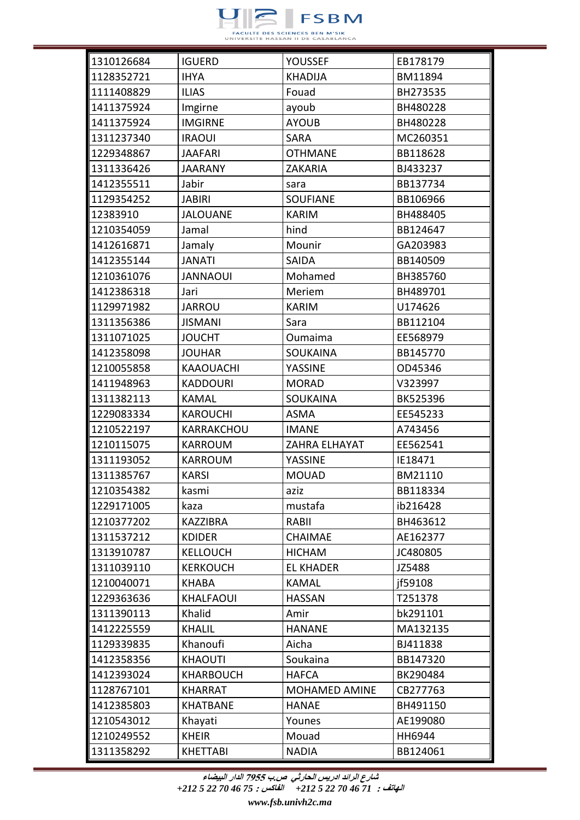

| 1310126684  | <b>IGUERD</b>    | <b>YOUSSEF</b>       | EB178179 |
|-------------|------------------|----------------------|----------|
| 1128352721  | <b>IHYA</b>      | <b>KHADIJA</b>       | BM11894  |
| 1111408829  | <b>ILIAS</b>     | Fouad                | BH273535 |
| 1411375924  | Imgirne          | ayoub                | BH480228 |
| 1411375924  | <b>IMGIRNE</b>   | <b>AYOUB</b>         | BH480228 |
| 1311237340  | <b>IRAOUI</b>    | <b>SARA</b>          | MC260351 |
| 1229348867  | <b>JAAFARI</b>   | <b>OTHMANE</b>       | BB118628 |
| 1311336426  | <b>JAARANY</b>   | <b>ZAKARIA</b>       | BJ433237 |
| 1412355511  | Jabir            | sara                 | BB137734 |
| 1129354252  | <b>JABIRI</b>    | <b>SOUFIANE</b>      | BB106966 |
| 12383910    | <b>JALOUANE</b>  | <b>KARIM</b>         | BH488405 |
| 1210354059  | Jamal            | hind                 | BB124647 |
| 1412616871  | Jamaly           | Mounir               | GA203983 |
| 1412355144  | <b>JANATI</b>    | <b>SAIDA</b>         | BB140509 |
| 1210361076  | <b>JANNAOUI</b>  | Mohamed              | BH385760 |
| 1412386318  | Jari             | Meriem               | BH489701 |
| 1129971982  | <b>JARROU</b>    | <b>KARIM</b>         | U174626  |
| 1311356386  | <b>JISMANI</b>   | Sara                 | BB112104 |
| 1311071025  | <b>JOUCHT</b>    | Oumaima              | EE568979 |
| 1412358098  | <b>JOUHAR</b>    | <b>SOUKAINA</b>      | BB145770 |
| 1210055858  | <b>KAAOUACHI</b> | YASSINE              | OD45346  |
| 1411948963  | <b>KADDOURI</b>  | <b>MORAD</b>         | V323997  |
| 1311382113  | KAMAL            | <b>SOUKAINA</b>      | BK525396 |
| 1229083334  | <b>KAROUCHI</b>  | <b>ASMA</b>          | EE545233 |
| 1210522197  | KARRAKCHOU       | <b>IMANE</b>         | A743456  |
| 1210115075  | <b>KARROUM</b>   | ZAHRA ELHAYAT        | EE562541 |
| 1311193052  | <b>KARROUM</b>   | YASSINE              | IE18471  |
| 1311385767  | <b>KARSI</b>     | <b>MOUAD</b>         | BM21110  |
| ∥1210354382 | kasmi            | aziz                 | BB118334 |
| 1229171005  | kaza             | mustafa              | ib216428 |
| 1210377202  | <b>KAZZIBRA</b>  | RABII                | BH463612 |
| 1311537212  | <b>KDIDER</b>    | <b>CHAIMAE</b>       | AE162377 |
| 1313910787  | <b>KELLOUCH</b>  | <b>HICHAM</b>        | JC480805 |
| 1311039110  | <b>KERKOUCH</b>  | <b>EL KHADER</b>     | JZ5488   |
| 1210040071  | <b>KHABA</b>     | KAMAL                | jf59108  |
| 1229363636  | <b>KHALFAOUI</b> | <b>HASSAN</b>        | T251378  |
| 1311390113  | Khalid           | Amir                 | bk291101 |
| 1412225559  | <b>KHALIL</b>    | <b>HANANE</b>        | MA132135 |
| 1129339835  | Khanoufi         | Aicha                | BJ411838 |
| 1412358356  | <b>KHAOUTI</b>   | Soukaina             | BB147320 |
| 1412393024  | <b>KHARBOUCH</b> | <b>HAFCA</b>         | BK290484 |
| 1128767101  | <b>KHARRAT</b>   | <b>MOHAMED AMINE</b> | CB277763 |
| 1412385803  | <b>KHATBANE</b>  | <b>HANAE</b>         | BH491150 |
| 1210543012  | Khayati          | Younes               | AE199080 |
| 1210249552  | <b>KHEIR</b>     | Mouad                | HH6944   |
| 1311358292  | <b>KHETTABI</b>  | <b>NADIA</b>         | BB124061 |

**الهاتف :** *71 46 70 22 5 +212* **الفاكس :** *75 46 70 22 5 +212*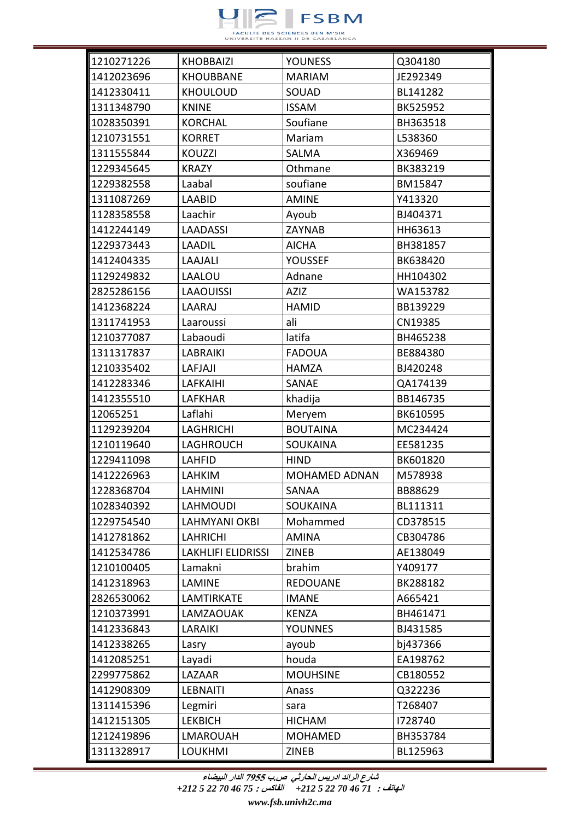

| 1210271226 | <b>KHOBBAIZI</b>          | <b>YOUNESS</b>       | Q304180  |
|------------|---------------------------|----------------------|----------|
| 1412023696 | <b>KHOUBBANE</b>          | <b>MARIAM</b>        | JE292349 |
| 1412330411 | <b>KHOULOUD</b>           | SOUAD                | BL141282 |
| 1311348790 | <b>KNINE</b>              | <b>ISSAM</b>         | BK525952 |
| 1028350391 | <b>KORCHAL</b>            | Soufiane             | BH363518 |
| 1210731551 | <b>KORRET</b>             | Mariam               | L538360  |
| 1311555844 | <b>KOUZZI</b>             | SALMA                | X369469  |
| 1229345645 | <b>KRAZY</b>              | Othmane              | BK383219 |
| 1229382558 | Laabal                    | soufiane             | BM15847  |
| 1311087269 | LAABID                    | <b>AMINE</b>         | Y413320  |
| 1128358558 | Laachir                   | Ayoub                | BJ404371 |
| 1412244149 | <b>LAADASSI</b>           | ZAYNAB               | HH63613  |
| 1229373443 | <b>LAADIL</b>             | <b>AICHA</b>         | BH381857 |
| 1412404335 | LAAJALI                   | YOUSSEF              | BK638420 |
| 1129249832 | LAALOU                    | Adnane               | HH104302 |
| 2825286156 | <b>LAAOUISSI</b>          | <b>AZIZ</b>          | WA153782 |
| 1412368224 | <b>LAARAJ</b>             | <b>HAMID</b>         | BB139229 |
| 1311741953 | Laaroussi                 | ali                  | CN19385  |
| 1210377087 | Labaoudi                  | latifa               | BH465238 |
| 1311317837 | <b>LABRAIKI</b>           | <b>FADOUA</b>        | BE884380 |
| 1210335402 | LAFJAJI                   | <b>HAMZA</b>         | BJ420248 |
| 1412283346 | <b>LAFKAIHI</b>           | SANAE                | QA174139 |
| 1412355510 | <b>LAFKHAR</b>            | khadija              | BB146735 |
| 12065251   | Laflahi                   | Meryem               | BK610595 |
| 1129239204 | <b>LAGHRICHI</b>          | <b>BOUTAINA</b>      | MC234424 |
| 1210119640 | LAGHROUCH                 | <b>SOUKAINA</b>      | EE581235 |
| 1229411098 | <b>LAHFID</b>             | <b>HIND</b>          | BK601820 |
| 1412226963 | <b>LAHKIM</b>             | <b>MOHAMED ADNAN</b> | M578938  |
| 1228368704 | <b>LAHMINI</b>            | SANAA                | BB88629  |
| 1028340392 | <b>LAHMOUDI</b>           | <b>SOUKAINA</b>      | BL111311 |
| 1229754540 | LAHMYANI OKBI             | Mohammed             | CD378515 |
| 1412781862 | <b>LAHRICHI</b>           | <b>AMINA</b>         | CB304786 |
| 1412534786 | <b>LAKHLIFI ELIDRISSI</b> | <b>ZINEB</b>         | AE138049 |
| 1210100405 | Lamakni                   | brahim               | Y409177  |
| 1412318963 | LAMINE                    | <b>REDOUANE</b>      | BK288182 |
| 2826530062 | LAMTIRKATE                | <b>IMANE</b>         | A665421  |
| 1210373991 | LAMZAOUAK                 | <b>KENZA</b>         | BH461471 |
| 1412336843 | <b>LARAIKI</b>            | <b>YOUNNES</b>       | BJ431585 |
| 1412338265 | Lasry                     | ayoub                | bj437366 |
| 1412085251 | Layadi                    | houda                | EA198762 |
| 2299775862 | LAZAAR                    | <b>MOUHSINE</b>      | CB180552 |
| 1412908309 | <b>LEBNAITI</b>           | Anass                | Q322236  |
| 1311415396 | Legmiri                   | sara                 | T268407  |
| 1412151305 | <b>LEKBICH</b>            | <b>HICHAM</b>        | 1728740  |
| 1212419896 | <b>LMAROUAH</b>           | <b>MOHAMED</b>       | BH353784 |
| 1311328917 | <b>LOUKHMI</b>            | <b>ZINEB</b>         | BL125963 |

**الهاتف :** *71 46 70 22 5 +212* **الفاكس :** *75 46 70 22 5 +212*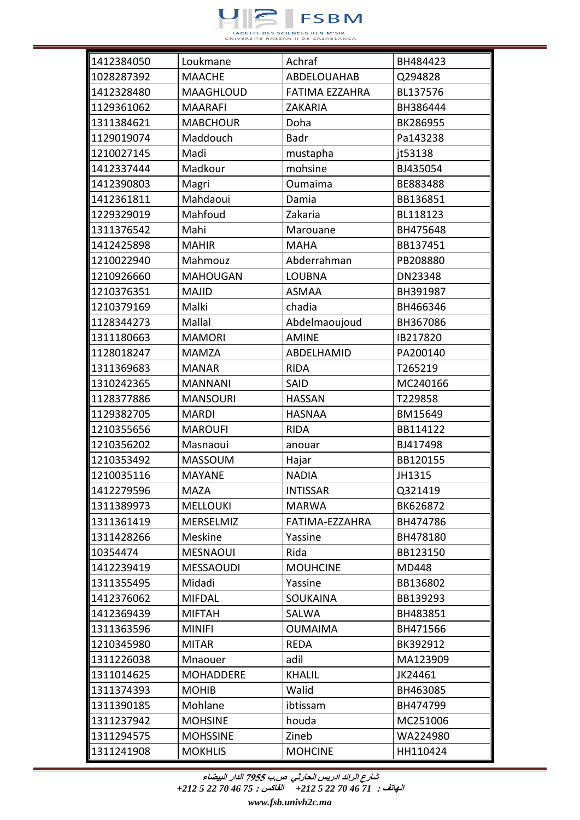

| 1412384050 | Loukmane         | Achraf             | BH484423 |
|------------|------------------|--------------------|----------|
| 1028287392 | <b>MAACHE</b>    | <b>ABDELOUAHAB</b> | Q294828  |
| 1412328480 | <b>MAAGHLOUD</b> | FATIMA EZZAHRA     | BL137576 |
| 1129361062 | <b>MAARAFI</b>   | <b>ZAKARIA</b>     | BH386444 |
| 1311384621 | <b>MABCHOUR</b>  | Doha               | BK286955 |
| 1129019074 | Maddouch         | <b>Badr</b>        | Pa143238 |
| 1210027145 | Madi             | mustapha           | it53138  |
| 1412337444 | Madkour          | mohsine            | BJ435054 |
| 1412390803 | Magri            | Oumaima            | BE883488 |
| 1412361811 | Mahdaoui         | Damia              | BB136851 |
| 1229329019 | Mahfoud          | Zakaria            | BL118123 |
| 1311376542 | Mahi             | Marouane           | BH475648 |
| 1412425898 | <b>MAHIR</b>     | MAHA               | BB137451 |
| 1210022940 | Mahmouz          | Abderrahman        | PB208880 |
| 1210926660 | <b>MAHOUGAN</b>  | <b>LOUBNA</b>      | DN23348  |
| 1210376351 | <b>MAJID</b>     | <b>ASMAA</b>       | BH391987 |
| 1210379169 | Malki            | chadia             | BH466346 |
| 1128344273 | Mallal           | Abdelmaoujoud      | BH367086 |
| 1311180663 | <b>MAMORI</b>    | <b>AMINE</b>       | IB217820 |
| 1128018247 | <b>MAMZA</b>     | ABDELHAMID         | PA200140 |
| 1311369683 | <b>MANAR</b>     | <b>RIDA</b>        | T265219  |
| 1310242365 | <b>MANNANI</b>   | SAID               | MC240166 |
| 1128377886 | <b>MANSOURI</b>  | <b>HASSAN</b>      | T229858  |
| 1129382705 | <b>MARDI</b>     | <b>HASNAA</b>      | BM15649  |
| 1210355656 | <b>MAROUFI</b>   | <b>RIDA</b>        | BB114122 |
| 1210356202 | Masnaoui         | anouar             | BJ417498 |
| 1210353492 | <b>MASSOUM</b>   | Hajar              | BB120155 |
| 1210035116 | <b>MAYANE</b>    | <b>NADIA</b>       | JH1315   |
| 1412279596 | <b>MAZA</b>      | <b>INTISSAR</b>    | Q321419  |
| 1311389973 | <b>MELLOUKI</b>  | MARWA              | BK626872 |
| 1311361419 | MERSELMIZ        | FATIMA-EZZAHRA     | BH474786 |
| 1311428266 | Meskine          | Yassine            | BH478180 |
| 10354474   | <b>MESNAOUI</b>  | Rida               | BB123150 |
| 1412239419 | <b>MESSAOUDI</b> | <b>MOUHCINE</b>    | MD448    |
| 1311355495 | Midadi           | Yassine            | BB136802 |
| 1412376062 | <b>MIFDAL</b>    | <b>SOUKAINA</b>    | BB139293 |
| 1412369439 | <b>MIFTAH</b>    | SALWA              | BH483851 |
| 1311363596 | <b>MINIFI</b>    | <b>OUMAIMA</b>     | BH471566 |
| 1210345980 | <b>MITAR</b>     | <b>REDA</b>        | BK392912 |
| 1311226038 | Mnaouer          | adil               | MA123909 |
| 1311014625 | <b>MOHADDERE</b> | <b>KHALIL</b>      | JK24461  |
| 1311374393 | <b>MOHIB</b>     | Walid              | BH463085 |
| 1311390185 | Mohlane          | ibtissam           | BH474799 |
| 1311237942 | <b>MOHSINE</b>   | houda              | MC251006 |
| 1311294575 | <b>MOHSSINE</b>  | Zineb              | WA224980 |
| 1311241908 | <b>MOKHLIS</b>   | <b>MOHCINE</b>     | HH110424 |

**الهاتف :** *71 46 70 22 5 +212* **الفاكس :** *75 46 70 22 5 +212*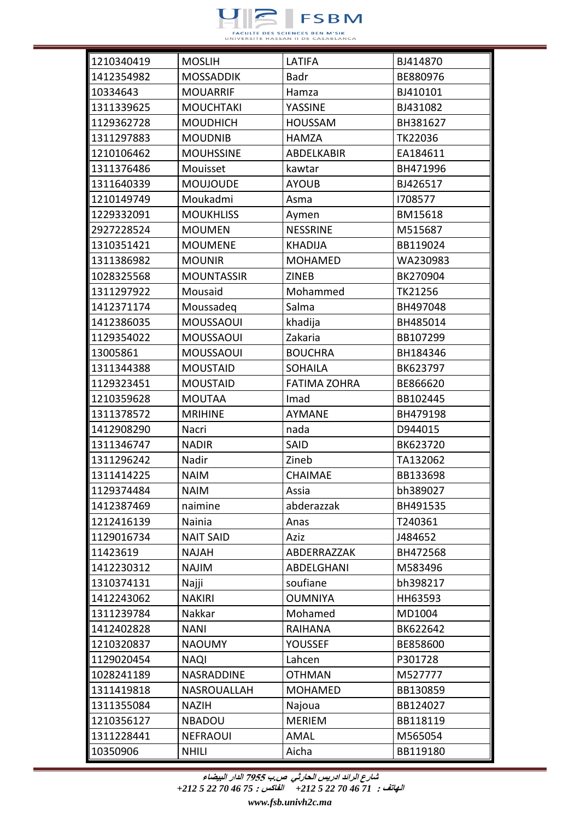

| 1210340419 | <b>MOSLIH</b>     | LATIFA              | BJ414870 |
|------------|-------------------|---------------------|----------|
| 1412354982 | <b>MOSSADDIK</b>  | Badr                | BE880976 |
| 10334643   | <b>MOUARRIF</b>   | Hamza               | BJ410101 |
| 1311339625 | <b>MOUCHTAKI</b>  | YASSINE             | BJ431082 |
| 1129362728 | <b>MOUDHICH</b>   | <b>HOUSSAM</b>      | BH381627 |
| 1311297883 | <b>MOUDNIB</b>    | <b>HAMZA</b>        | TK22036  |
| 1210106462 | <b>MOUHSSINE</b>  | <b>ABDELKABIR</b>   | EA184611 |
| 1311376486 | Mouisset          | kawtar              | BH471996 |
| 1311640339 | <b>MOUJOUDE</b>   | <b>AYOUB</b>        | BJ426517 |
| 1210149749 | Moukadmi          | Asma                | 1708577  |
| 1229332091 | <b>MOUKHLISS</b>  | Aymen               | BM15618  |
| 2927228524 | <b>MOUMEN</b>     | <b>NESSRINE</b>     | M515687  |
| 1310351421 | <b>MOUMENE</b>    | <b>KHADIJA</b>      | BB119024 |
| 1311386982 | <b>MOUNIR</b>     | <b>MOHAMED</b>      | WA230983 |
| 1028325568 | <b>MOUNTASSIR</b> | <b>ZINEB</b>        | BK270904 |
| 1311297922 | Mousaid           | Mohammed            | TK21256  |
| 1412371174 | Moussadeg         | Salma               | BH497048 |
| 1412386035 | <b>MOUSSAOUI</b>  | khadija             | BH485014 |
| 1129354022 | <b>MOUSSAOUI</b>  | Zakaria             | BB107299 |
| 13005861   | <b>MOUSSAOUI</b>  | <b>BOUCHRA</b>      | BH184346 |
| 1311344388 | <b>MOUSTAID</b>   | <b>SOHAILA</b>      | BK623797 |
| 1129323451 | <b>MOUSTAID</b>   | <b>FATIMA ZOHRA</b> | BE866620 |
| 1210359628 | <b>MOUTAA</b>     | Imad                | BB102445 |
| 1311378572 | <b>MRIHINE</b>    | <b>AYMANE</b>       | BH479198 |
| 1412908290 | Nacri             | nada                | D944015  |
| 1311346747 | <b>NADIR</b>      | SAID                | BK623720 |
| 1311296242 | Nadir             | Zineb               | TA132062 |
| 1311414225 | <b>NAIM</b>       | <b>CHAIMAE</b>      | BB133698 |
| 1129374484 | <b>NAIM</b>       | Assia               | bh389027 |
| 1412387469 | naimine           | abderazzak          | BH491535 |
| 1212416139 | Nainia            | Anas                | T240361  |
| 1129016734 | <b>NAIT SAID</b>  | Aziz                | J484652  |
| 11423619   | <b>NAJAH</b>      | ABDERRAZZAK         | BH472568 |
| 1412230312 | <b>NAJIM</b>      | ABDELGHANI          | M583496  |
| 1310374131 | Najji             | soufiane            | bh398217 |
| 1412243062 | <b>NAKIRI</b>     | <b>OUMNIYA</b>      | HH63593  |
| 1311239784 | Nakkar            | Mohamed             | MD1004   |
| 1412402828 | <b>NANI</b>       | <b>RAIHANA</b>      | BK622642 |
| 1210320837 | <b>NAOUMY</b>     | <b>YOUSSEF</b>      | BE858600 |
| 1129020454 | <b>NAQI</b>       | Lahcen              | P301728  |
| 1028241189 | NASRADDINE        | <b>OTHMAN</b>       | M527777  |
| 1311419818 | NASROUALLAH       | <b>MOHAMED</b>      | BB130859 |
| 1311355084 | <b>NAZIH</b>      | Najoua              | BB124027 |
| 1210356127 | <b>NBADOU</b>     | <b>MERIEM</b>       | BB118119 |
| 1311228441 | <b>NEFRAOUI</b>   | AMAL                | M565054  |
| 10350906   | <b>NHILI</b>      | Aicha               | BB119180 |

**الهاتف :** *71 46 70 22 5 +212* **الفاكس :** *75 46 70 22 5 +212*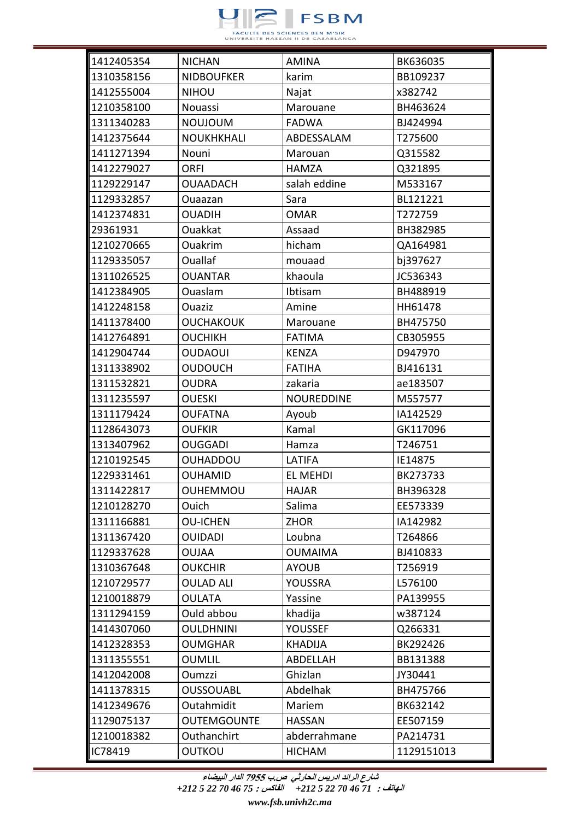

| 1412405354 | <b>NICHAN</b>      | <b>AMINA</b>      | BK636035   |
|------------|--------------------|-------------------|------------|
| 1310358156 | <b>NIDBOUFKER</b>  | karim             | BB109237   |
| 1412555004 | <b>NIHOU</b>       | Najat             | x382742    |
| 1210358100 | Nouassi            | Marouane          | BH463624   |
| 1311340283 | <b>NOUJOUM</b>     | <b>FADWA</b>      | BJ424994   |
| 1412375644 | <b>NOUKHKHALI</b>  | ABDESSALAM        | T275600    |
| 1411271394 | Nouni              | Marouan           | Q315582    |
| 1412279027 | <b>ORFI</b>        | <b>HAMZA</b>      | Q321895    |
| 1129229147 | <b>OUAADACH</b>    | salah eddine      | M533167    |
| 1129332857 | Ouaazan            | Sara              | BL121221   |
| 1412374831 | <b>OUADIH</b>      | <b>OMAR</b>       | T272759    |
| 29361931   | Ouakkat            | Assaad            | BH382985   |
| 1210270665 | Ouakrim            | hicham            | QA164981   |
| 1129335057 | Ouallaf            | mouaad            | bj397627   |
| 1311026525 | <b>OUANTAR</b>     | khaoula           | JC536343   |
| 1412384905 | Ouaslam            | Ibtisam           | BH488919   |
| 1412248158 | <b>Ouaziz</b>      | Amine             | HH61478    |
| 1411378400 | <b>OUCHAKOUK</b>   | Marouane          | BH475750   |
| 1412764891 | <b>OUCHIKH</b>     | <b>FATIMA</b>     | CB305955   |
| 1412904744 | <b>OUDAOUI</b>     | <b>KENZA</b>      | D947970    |
| 1311338902 | <b>OUDOUCH</b>     | <b>FATIHA</b>     | BJ416131   |
| 1311532821 | <b>OUDRA</b>       | zakaria           | ae183507   |
| 1311235597 | <b>OUESKI</b>      | <b>NOUREDDINE</b> | M557577    |
| 1311179424 | <b>OUFATNA</b>     | Ayoub             | IA142529   |
| 1128643073 | <b>OUFKIR</b>      | Kamal             | GK117096   |
| 1313407962 | <b>OUGGADI</b>     | Hamza             | T246751    |
| 1210192545 | <b>OUHADDOU</b>    | LATIFA            | IE14875    |
| 1229331461 | <b>OUHAMID</b>     | EL MEHDI          | BK273733   |
| 1311422817 | <b>OUHEMMOU</b>    | <b>HAJAR</b>      | BH396328   |
| 1210128270 | Ouich              | Salima            | EE573339   |
| 1311166881 | <b>OU-ICHEN</b>    | <b>ZHOR</b>       | IA142982   |
| 1311367420 | <b>OUIDADI</b>     | Loubna            | T264866    |
| 1129337628 | <b>OUJAA</b>       | <b>OUMAIMA</b>    | BJ410833   |
| 1310367648 | <b>OUKCHIR</b>     | <b>AYOUB</b>      | T256919    |
| 1210729577 | <b>OULAD ALI</b>   | YOUSSRA           | L576100    |
| 1210018879 | <b>OULATA</b>      | Yassine           | PA139955   |
| 1311294159 | Ould abbou         | khadija           | w387124    |
| 1414307060 | <b>OULDHNINI</b>   | <b>YOUSSEF</b>    | Q266331    |
| 1412328353 | <b>OUMGHAR</b>     | <b>KHADIJA</b>    | BK292426   |
| 1311355551 | <b>OUMLIL</b>      | ABDELLAH          | BB131388   |
| 1412042008 | Oumzzi             | Ghizlan           | JY30441    |
| 1411378315 | <b>OUSSOUABL</b>   | Abdelhak          | BH475766   |
| 1412349676 | Outahmidit         | Mariem            | BK632142   |
| 1129075137 | <b>OUTEMGOUNTE</b> | <b>HASSAN</b>     | EE507159   |
| 1210018382 | Outhanchirt        | abderrahmane      | PA214731   |
| IC78419    | <b>OUTKOU</b>      | <b>HICHAM</b>     | 1129151013 |

**الهاتف :** *71 46 70 22 5 +212* **الفاكس :** *75 46 70 22 5 +212*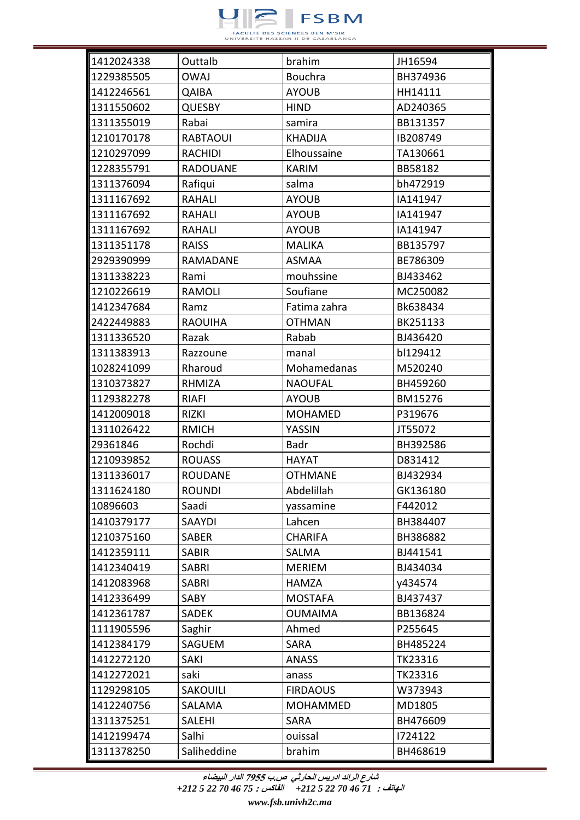

| 1412024338 | Outtalb         | brahim          | JH16594  |
|------------|-----------------|-----------------|----------|
| 1229385505 | <b>OWAJ</b>     | <b>Bouchra</b>  | BH374936 |
| 1412246561 | QAIBA           | <b>AYOUB</b>    | HH14111  |
| 1311550602 | <b>QUESBY</b>   | <b>HIND</b>     | AD240365 |
| 1311355019 | Rabai           | samira          | BB131357 |
| 1210170178 | <b>RABTAOUI</b> | <b>KHADIJA</b>  | IB208749 |
| 1210297099 | <b>RACHIDI</b>  | Elhoussaine     | TA130661 |
| 1228355791 | <b>RADOUANE</b> | <b>KARIM</b>    | BB58182  |
| 1311376094 | Rafiqui         | salma           | bh472919 |
| 1311167692 | RAHALI          | <b>AYOUB</b>    | IA141947 |
| 1311167692 | RAHALI          | <b>AYOUB</b>    | IA141947 |
| 1311167692 | RAHALI          | <b>AYOUB</b>    | IA141947 |
| 1311351178 | <b>RAISS</b>    | <b>MALIKA</b>   | BB135797 |
| 2929390999 | <b>RAMADANE</b> | <b>ASMAA</b>    | BE786309 |
| 1311338223 | Rami            | mouhssine       | BJ433462 |
| 1210226619 | <b>RAMOLI</b>   | Soufiane        | MC250082 |
| 1412347684 | Ramz            | Fatima zahra    | Bk638434 |
| 2422449883 | <b>RAOUIHA</b>  | <b>OTHMAN</b>   | BK251133 |
| 1311336520 | Razak           | Rabab           | BJ436420 |
| 1311383913 | Razzoune        | manal           | bl129412 |
| 1028241099 | Rharoud         | Mohamedanas     | M520240  |
| 1310373827 | RHMIZA          | <b>NAOUFAL</b>  | BH459260 |
| 1129382278 | <b>RIAFI</b>    | <b>AYOUB</b>    | BM15276  |
| 1412009018 | <b>RIZKI</b>    | <b>MOHAMED</b>  | P319676  |
| 1311026422 | <b>RMICH</b>    | YASSIN          | JT55072  |
| 29361846   | Rochdi          | Badr            | BH392586 |
| 1210939852 | <b>ROUASS</b>   | <b>HAYAT</b>    | D831412  |
| 1311336017 | <b>ROUDANE</b>  | <b>OTHMANE</b>  | BJ432934 |
| 1311624180 | <b>ROUNDI</b>   | Abdelillah      | GK136180 |
| 10896603   | Saadi           | yassamine       | F442012  |
| 1410379177 | SAAYDI          | Lahcen          | BH384407 |
| 1210375160 | <b>SABER</b>    | <b>CHARIFA</b>  | BH386882 |
| 1412359111 | <b>SABIR</b>    | <b>SALMA</b>    | BJ441541 |
| 1412340419 | SABRI           | <b>MERIEM</b>   | BJ434034 |
| 1412083968 | <b>SABRI</b>    | <b>HAMZA</b>    | y434574  |
| 1412336499 | SABY            | <b>MOSTAFA</b>  | BJ437437 |
| 1412361787 | <b>SADEK</b>    | <b>OUMAIMA</b>  | BB136824 |
| 1111905596 | Saghir          | Ahmed           | P255645  |
| 1412384179 | <b>SAGUEM</b>   | <b>SARA</b>     | BH485224 |
| 1412272120 | <b>SAKI</b>     | <b>ANASS</b>    | TK23316  |
| 1412272021 | saki            | anass           | TK23316  |
| 1129298105 | <b>SAKOUILI</b> | <b>FIRDAOUS</b> | W373943  |
| 1412240756 | SALAMA          | <b>MOHAMMED</b> | MD1805   |
| 1311375251 | <b>SALEHI</b>   | SARA            | BH476609 |
| 1412199474 | Salhi           | ouissal         | 1724122  |
| 1311378250 | Saliheddine     | brahim          | BH468619 |

**الهاتف :** *71 46 70 22 5 +212* **الفاكس :** *75 46 70 22 5 +212*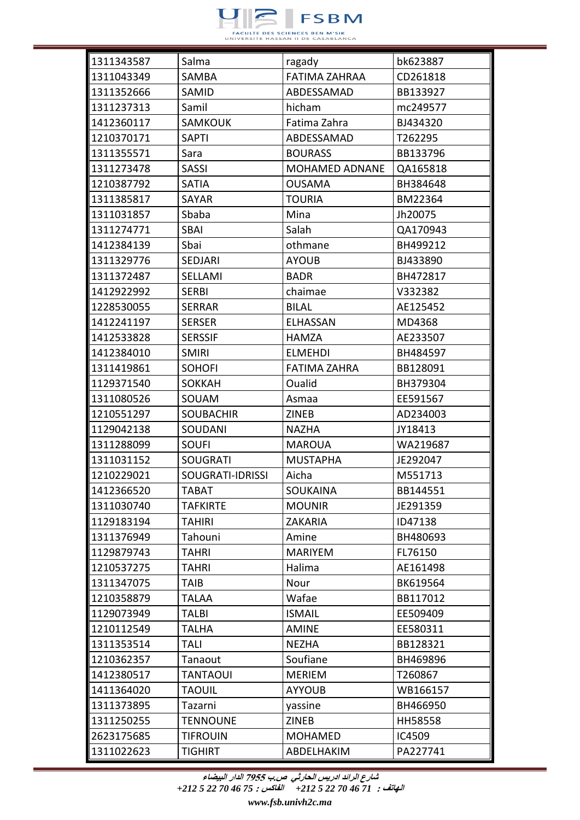

| 1311343587 | Salma                   | ragady                | bk623887 |
|------------|-------------------------|-----------------------|----------|
| 1311043349 | SAMBA                   | <b>FATIMA ZAHRAA</b>  | CD261818 |
| 1311352666 | SAMID                   | ABDESSAMAD            | BB133927 |
| 1311237313 | Samil                   | hicham                | mc249577 |
| 1412360117 | <b>SAMKOUK</b>          | Fatima Zahra          | BJ434320 |
| 1210370171 | <b>SAPTI</b>            | ABDESSAMAD            | T262295  |
| 1311355571 | Sara                    | <b>BOURASS</b>        | BB133796 |
| 1311273478 | <b>SASSI</b>            | <b>MOHAMED ADNANE</b> | QA165818 |
| 1210387792 | <b>SATIA</b>            | <b>OUSAMA</b>         | BH384648 |
| 1311385817 | <b>SAYAR</b>            | <b>TOURIA</b>         | BM22364  |
| 1311031857 | Sbaba                   | Mina                  | Jh20075  |
| 1311274771 | <b>SBAI</b>             | Salah                 | QA170943 |
| 1412384139 | Sbai                    | othmane               | BH499212 |
| 1311329776 | <b>SEDJARI</b>          | <b>AYOUB</b>          | BJ433890 |
| 1311372487 | SELLAMI                 | <b>BADR</b>           | BH472817 |
| 1412922992 | <b>SERBI</b>            | chaimae               | V332382  |
| 1228530055 | <b>SERRAR</b>           | <b>BILAL</b>          | AE125452 |
| 1412241197 | <b>SERSER</b>           | <b>ELHASSAN</b>       | MD4368   |
| 1412533828 | <b>SERSSIF</b>          | <b>HAMZA</b>          | AE233507 |
| 1412384010 | <b>SMIRI</b>            | <b>ELMEHDI</b>        | BH484597 |
| 1311419861 | <b>SOHOFI</b>           | <b>FATIMA ZAHRA</b>   | BB128091 |
| 1129371540 | <b>SOKKAH</b>           | Oualid                | BH379304 |
| 1311080526 | SOUAM                   | Asmaa                 | EE591567 |
| 1210551297 | <b>SOUBACHIR</b>        | <b>ZINEB</b>          | AD234003 |
| 1129042138 | SOUDANI                 | <b>NAZHA</b>          | JY18413  |
| 1311288099 | <b>SOUFI</b>            | <b>MAROUA</b>         | WA219687 |
| 1311031152 | <b>SOUGRATI</b>         | <b>MUSTAPHA</b>       | JE292047 |
| 1210229021 | <b>SOUGRATI-IDRISSI</b> | Aicha                 | M551713  |
| 1412366520 | <b>TABAT</b>            | SOUKAINA              | BB144551 |
| 1311030740 | <b>TAFKIRTE</b>         | <b>MOUNIR</b>         | JE291359 |
| 1129183194 | <b>TAHIRI</b>           | <b>ZAKARIA</b>        | ID47138  |
| 1311376949 | Tahouni                 | Amine                 | BH480693 |
| 1129879743 | <b>TAHRI</b>            | <b>MARIYEM</b>        | FL76150  |
| 1210537275 | <b>TAHRI</b>            | Halima                | AE161498 |
| 1311347075 | TAIB                    | Nour                  | BK619564 |
| 1210358879 | <b>TALAA</b>            | Wafae                 | BB117012 |
| 1129073949 | <b>TALBI</b>            | <b>ISMAIL</b>         | EE509409 |
| 1210112549 | <b>TALHA</b>            | <b>AMINE</b>          | EE580311 |
| 1311353514 | <b>TALI</b>             | <b>NEZHA</b>          | BB128321 |
| 1210362357 | Tanaout                 | Soufiane              | BH469896 |
| 1412380517 | <b>TANTAOUI</b>         | <b>MERIEM</b>         | T260867  |
| 1411364020 | <b>TAOUIL</b>           | <b>AYYOUB</b>         | WB166157 |
| 1311373895 | Tazarni                 | yassine               | BH466950 |
| 1311250255 | <b>TENNOUNE</b>         | <b>ZINEB</b>          | HH58558  |
| 2623175685 | <b>TIFROUIN</b>         | <b>MOHAMED</b>        | IC4509   |
| 1311022623 | <b>TIGHIRT</b>          | ABDELHAKIM            | PA227741 |

**الهاتف :** *71 46 70 22 5 +212* **الفاكس :** *75 46 70 22 5 +212*